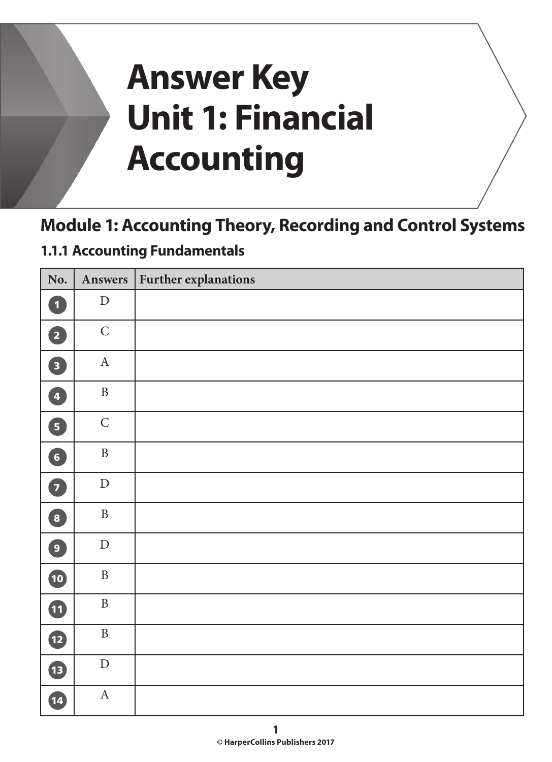# **Answer Key Unit 1: Financial Accounting**

# **Module 1: Accounting Theory, Recording and Control Systems**

#### **1.1.1 Accounting Fundamentals**

| No.                     | Answers      | <b>Further explanations</b> |
|-------------------------|--------------|-----------------------------|
| $\bullet$               | ${\rm D}$    |                             |
| 2                       | $\mathsf C$  |                             |
| $\overline{\mathbf{3}}$ | $\mathbf A$  |                             |
| $\left( 4\right)$       | $\, {\bf B}$ |                             |
| 5                       | $\mathsf C$  |                             |
| 6                       | $\, {\bf B}$ |                             |
| $\overline{\mathbf{z}}$ | ${\rm D}$    |                             |
| 8                       | $\, {\bf B}$ |                             |
| $\boxed{9}$             | ${\rm D}$    |                             |
| 10                      | $\, {\bf B}$ |                             |
| $\bf \Phi$              | $\, {\bf B}$ |                             |
| $\mathbf{P}$            | $\, {\bf B}$ |                             |
| B                       | ${\rm D}$    |                             |
| 14                      | $\mathbf A$  |                             |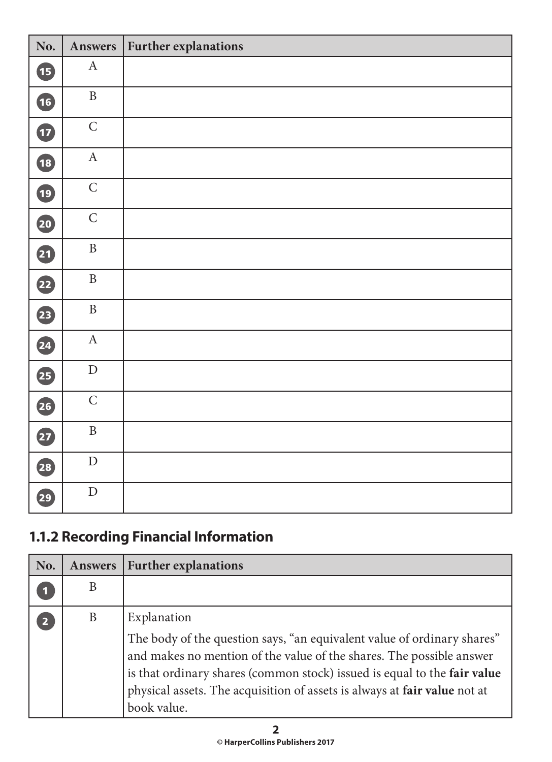| No.          | Answers      | Further explanations |
|--------------|--------------|----------------------|
| $\mathbf{B}$ | $\mathbf A$  |                      |
| 16           | $\, {\bf B}$ |                      |
| $\mathbf{D}$ | $\mathsf C$  |                      |
| 18           | $\mathbf A$  |                      |
| 19           | $\mathsf C$  |                      |
| 20           | $\mathsf C$  |                      |
| 4            | $\, {\bf B}$ |                      |
| 22           | $\, {\bf B}$ |                      |
| 23           | $\, {\bf B}$ |                      |
| 24           | $\mathbf A$  |                      |
| 25           | ${\rm D}$    |                      |
| 26           | $\mathsf{C}$ |                      |
| 27           | $\, {\bf B}$ |                      |
| 28           | ${\rm D}$    |                      |
| 29           | ${\rm D}$    |                      |

# **1.1.2 Recording Financial Information**

| No.                     | Answers | <b>Further explanations</b>                                                                                                                                                                                                                                                                                                            |
|-------------------------|---------|----------------------------------------------------------------------------------------------------------------------------------------------------------------------------------------------------------------------------------------------------------------------------------------------------------------------------------------|
|                         | B       |                                                                                                                                                                                                                                                                                                                                        |
| $\overline{\mathbf{2}}$ | B       | Explanation<br>The body of the question says, "an equivalent value of ordinary shares"<br>and makes no mention of the value of the shares. The possible answer<br>is that ordinary shares (common stock) issued is equal to the fair value<br>physical assets. The acquisition of assets is always at fair value not at<br>book value. |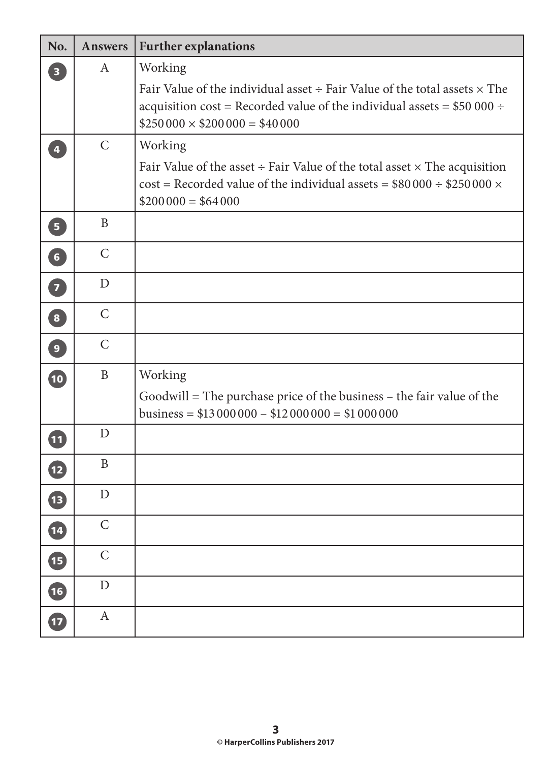| No.                     | <b>Answers</b> | <b>Further explanations</b>                                                                                                                                                                                    |
|-------------------------|----------------|----------------------------------------------------------------------------------------------------------------------------------------------------------------------------------------------------------------|
| $\overline{\mathbf{3}}$ | A              | Working                                                                                                                                                                                                        |
|                         |                | Fair Value of the individual asset $\div$ Fair Value of the total assets $\times$ The<br>acquisition cost = Recorded value of the individual assets = $$50000 \div$<br>$$250\,000 \times $200\,000 = $40\,000$ |
| $\overline{\mathbf{4}}$ | $\mathsf{C}$   | Working                                                                                                                                                                                                        |
|                         |                | Fair Value of the asset $\div$ Fair Value of the total asset $\times$ The acquisition<br>$\text{cost}$ = Recorded value of the individual assets = \$80 000 ÷ \$250 000 $\times$<br>$$200000 = $64000$         |
| $\overline{5}$          | B              |                                                                                                                                                                                                                |
| 6 <sup>1</sup>          | $\mathsf{C}$   |                                                                                                                                                                                                                |
| $\overline{7}$          | D              |                                                                                                                                                                                                                |
| $\boxed{8}$             | $\mathsf{C}$   |                                                                                                                                                                                                                |
| 9                       | $\mathcal{C}$  |                                                                                                                                                                                                                |
| $\overline{10}$         | $\mathbf{B}$   | Working                                                                                                                                                                                                        |
|                         |                | Goodwill = The purchase price of the business – the fair value of the<br>business = $$13\,000\,000 - $12\,000\,000 = $1\,000\,000$                                                                             |
| (11)                    | D              |                                                                                                                                                                                                                |
| $\overline{12}$         | B              |                                                                                                                                                                                                                |
| $\overline{\mathbf{1}}$ | $\mathbf D$    |                                                                                                                                                                                                                |
| $\boxed{14}$            | $\mathsf C$    |                                                                                                                                                                                                                |
| 15                      | $\mathsf C$    |                                                                                                                                                                                                                |
| 16                      | D              |                                                                                                                                                                                                                |
| $\overline{17}$         | $\mathbf{A}$   |                                                                                                                                                                                                                |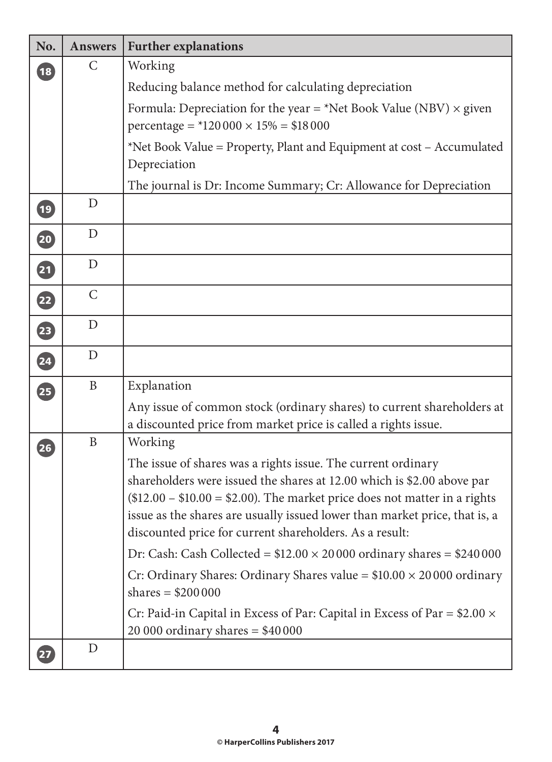| No.             | <b>Answers</b> | <b>Further explanations</b>                                                                                                                                                                                                                                                                                                                                 |
|-----------------|----------------|-------------------------------------------------------------------------------------------------------------------------------------------------------------------------------------------------------------------------------------------------------------------------------------------------------------------------------------------------------------|
| $\overline{18}$ | $\mathsf{C}$   | Working                                                                                                                                                                                                                                                                                                                                                     |
|                 |                | Reducing balance method for calculating depreciation                                                                                                                                                                                                                                                                                                        |
|                 |                | Formula: Depreciation for the year = *Net Book Value (NBV) $\times$ given                                                                                                                                                                                                                                                                                   |
|                 |                | percentage = $*120000 \times 15\% = $18000$                                                                                                                                                                                                                                                                                                                 |
|                 |                | *Net Book Value = Property, Plant and Equipment at cost – Accumulated                                                                                                                                                                                                                                                                                       |
|                 |                | Depreciation                                                                                                                                                                                                                                                                                                                                                |
|                 |                | The journal is Dr: Income Summary; Cr: Allowance for Depreciation                                                                                                                                                                                                                                                                                           |
| $\overline{19}$ | D              |                                                                                                                                                                                                                                                                                                                                                             |
| 20              | $\mathbf D$    |                                                                                                                                                                                                                                                                                                                                                             |
| 21              | $\mathbf D$    |                                                                                                                                                                                                                                                                                                                                                             |
| 22              | $\mathsf{C}$   |                                                                                                                                                                                                                                                                                                                                                             |
| 23              | $\mathbf D$    |                                                                                                                                                                                                                                                                                                                                                             |
| 24              | $\mathbf D$    |                                                                                                                                                                                                                                                                                                                                                             |
| 25              | $\mathbf B$    | Explanation                                                                                                                                                                                                                                                                                                                                                 |
|                 |                | Any issue of common stock (ordinary shares) to current shareholders at<br>a discounted price from market price is called a rights issue.                                                                                                                                                                                                                    |
| 26              | $\mathbf{B}$   | Working                                                                                                                                                                                                                                                                                                                                                     |
|                 |                | The issue of shares was a rights issue. The current ordinary<br>shareholders were issued the shares at 12.00 which is \$2.00 above par<br>$$12.00 - $10.00 = $2.00$ . The market price does not matter in a rights<br>issue as the shares are usually issued lower than market price, that is, a<br>discounted price for current shareholders. As a result: |
|                 |                | Dr: Cash: Cash Collected = $$12.00 \times 20000$ ordinary shares = $$240000$                                                                                                                                                                                                                                                                                |
|                 |                | Cr: Ordinary Shares: Ordinary Shares value = $$10.00 \times 20000$ ordinary<br>shares = $$200000$                                                                                                                                                                                                                                                           |
|                 |                | Cr: Paid-in Capital in Excess of Par: Capital in Excess of Par = $$2.00 \times$<br>20 000 ordinary shares = $$40\,000$                                                                                                                                                                                                                                      |
| 27              | $\mathbf D$    |                                                                                                                                                                                                                                                                                                                                                             |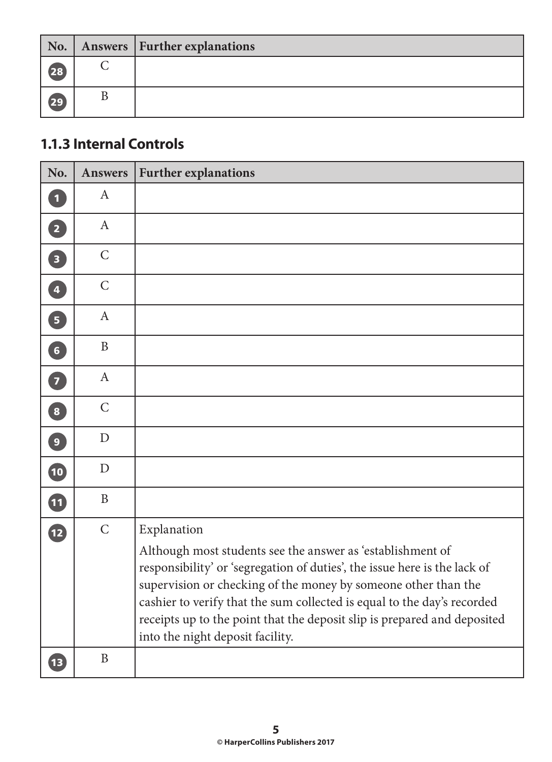| No.  | Answers   Further explanations |
|------|--------------------------------|
| (28) |                                |
| (29) |                                |

#### **1.1.3 Internal Controls**

| No.                     | <b>Answers</b> | <b>Further explanations</b>                                                                                                                                                                                                                                                                                                                                                                          |
|-------------------------|----------------|------------------------------------------------------------------------------------------------------------------------------------------------------------------------------------------------------------------------------------------------------------------------------------------------------------------------------------------------------------------------------------------------------|
| $\mathbf{1}$            | $\mathbf{A}$   |                                                                                                                                                                                                                                                                                                                                                                                                      |
| $\overline{2}$          | $\mathbf{A}$   |                                                                                                                                                                                                                                                                                                                                                                                                      |
| $\overline{\mathbf{3}}$ | $\mathsf{C}$   |                                                                                                                                                                                                                                                                                                                                                                                                      |
| 4                       | $\mathcal{C}$  |                                                                                                                                                                                                                                                                                                                                                                                                      |
| $\boxed{5}$             | $\mathbf{A}$   |                                                                                                                                                                                                                                                                                                                                                                                                      |
| $\bullet$               | B              |                                                                                                                                                                                                                                                                                                                                                                                                      |
| 7                       | $\mathbf{A}$   |                                                                                                                                                                                                                                                                                                                                                                                                      |
| $\overline{\mathbf{8}}$ | $\mathcal{C}$  |                                                                                                                                                                                                                                                                                                                                                                                                      |
| $\overline{9}$          | D              |                                                                                                                                                                                                                                                                                                                                                                                                      |
| 10                      | D              |                                                                                                                                                                                                                                                                                                                                                                                                      |
| 1                       | $\mathbf{B}$   |                                                                                                                                                                                                                                                                                                                                                                                                      |
| 12                      | $\mathsf{C}$   | Explanation                                                                                                                                                                                                                                                                                                                                                                                          |
|                         |                | Although most students see the answer as 'establishment of<br>responsibility' or 'segregation of duties', the issue here is the lack of<br>supervision or checking of the money by someone other than the<br>cashier to verify that the sum collected is equal to the day's recorded<br>receipts up to the point that the deposit slip is prepared and deposited<br>into the night deposit facility. |
| 13                      | $\mathbf{B}$   |                                                                                                                                                                                                                                                                                                                                                                                                      |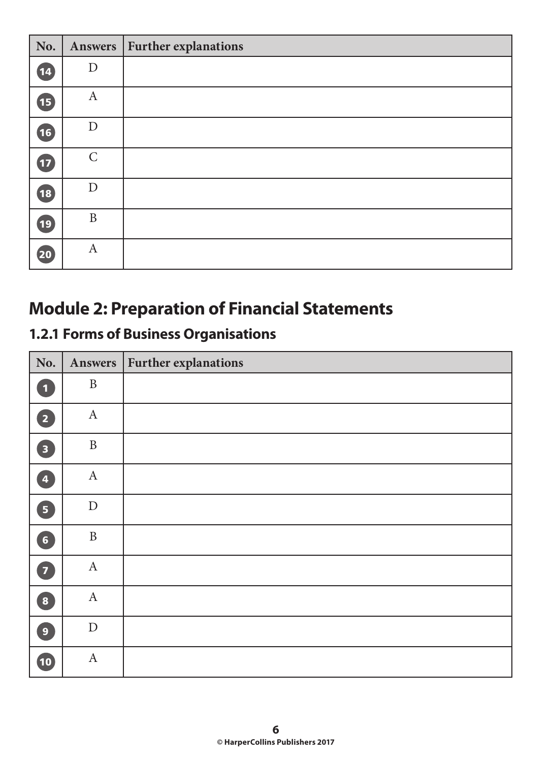| No.                      |                  | Answers   Further explanations |
|--------------------------|------------------|--------------------------------|
| (14)                     | $\mathbf D$      |                                |
| <b>15</b>                | $\boldsymbol{A}$ |                                |
| 16                       | $\mathbf D$      |                                |
| $\overline{\mathbf{12}}$ | $\mathcal{C}$    |                                |
| <b>18</b>                | D                |                                |
| (19)                     | $\mathbf{B}$     |                                |
| 20                       | $\boldsymbol{A}$ |                                |

# **Module 2: Preparation of Financial Statements**

# **1.2.1 Forms of Business Organisations**

| No.                                              |              | Answers   Further explanations |
|--------------------------------------------------|--------------|--------------------------------|
| $\blacksquare$                                   | $\, {\bf B}$ |                                |
| 2                                                | $\mathbf{A}$ |                                |
| 3                                                | $\, {\bf B}$ |                                |
| $\begin{array}{c} \hline \mathbf{4} \end{array}$ | $\mathbf{A}$ |                                |
| 6                                                | ${\rm D}$    |                                |
| 6                                                | $\, {\bf B}$ |                                |
| $\bullet$                                        | $\mathbf{A}$ |                                |
| 8                                                | $\mathbf{A}$ |                                |
| $\boxed{9}$                                      | ${\rm D}$    |                                |
| 10                                               | $\mathbf{A}$ |                                |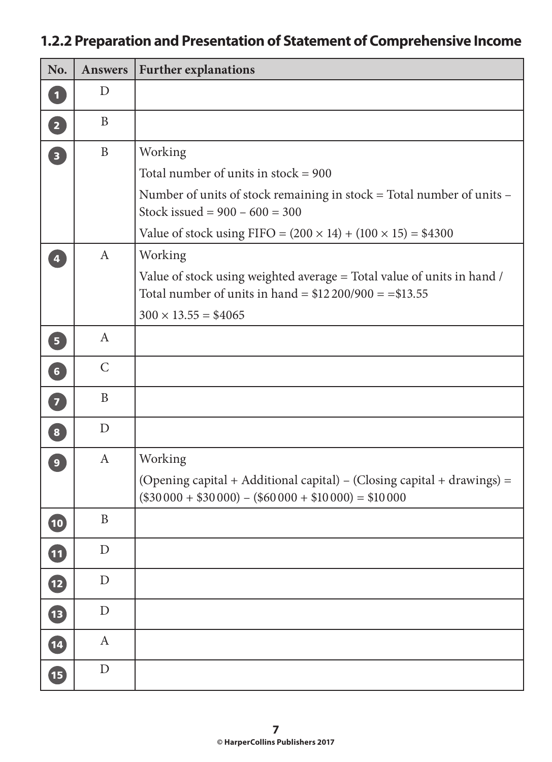# **1.2.2 Preparation and Presentation of Statement of Comprehensive Income**

| No.                      | <b>Answers</b>   | <b>Further explanations</b>                                                                                                       |
|--------------------------|------------------|-----------------------------------------------------------------------------------------------------------------------------------|
| $\mathbf{1}$             | D                |                                                                                                                                   |
| $\boxed{2}$              | B                |                                                                                                                                   |
| $\overline{\mathbf{3}}$  | $\mathbf{B}$     | Working                                                                                                                           |
|                          |                  | Total number of units in stock = $900$                                                                                            |
|                          |                  | Number of units of stock remaining in stock = Total number of units -<br>Stock issued = $900 - 600 = 300$                         |
|                          |                  | Value of stock using FIFO = $(200 \times 14) + (100 \times 15) = $4300$                                                           |
| $\overline{4}$           | $\mathbf{A}$     | Working                                                                                                                           |
|                          |                  | Value of stock using weighted average = Total value of units in hand /<br>Total number of units in hand = $$12\,200/900 = $13.55$ |
|                          |                  | $300 \times 13.55 = $4065$                                                                                                        |
| $\boxed{5}$              | $\mathbf{A}$     |                                                                                                                                   |
| $\boxed{6}$              | $\mathsf{C}$     |                                                                                                                                   |
| $\overline{z}$           | $\mathbf{B}$     |                                                                                                                                   |
| $\boxed{8}$              | D                |                                                                                                                                   |
| 9 <sup>°</sup>           | $\mathbf{A}$     | Working                                                                                                                           |
|                          |                  | (Opening capital + Additional capital) – (Closing capital + drawings) =<br>$($30000 + $30000) - ($60000 + $10000) = $10000$       |
| 10                       | $\, {\bf B}$     |                                                                                                                                   |
| $\overline{\mathbf{u}}$  | $\mathbf D$      |                                                                                                                                   |
| $\overline{\mathbf{12}}$ | $\mathbf D$      |                                                                                                                                   |
| $\overline{\mathbf{13}}$ | $\mathbf D$      |                                                                                                                                   |
| $\overline{\textbf{14}}$ | $\boldsymbol{A}$ |                                                                                                                                   |
| 15                       | $\mathbf D$      |                                                                                                                                   |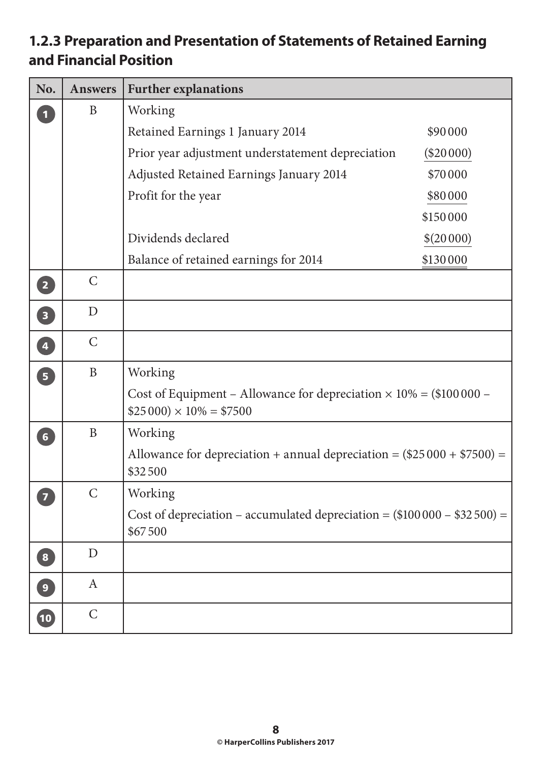#### **1.2.3 Preparation and Presentation of Statements of Retained Earning and Financial Position**

| No.                               | <b>Answers</b> | <b>Further explanations</b>                                                                                 |
|-----------------------------------|----------------|-------------------------------------------------------------------------------------------------------------|
| $\overline{\mathbf{1}}$           | B              | Working                                                                                                     |
|                                   |                | Retained Earnings 1 January 2014<br>\$90000                                                                 |
|                                   |                | Prior year adjustment understatement depreciation<br>$(\$20000)$                                            |
|                                   |                | Adjusted Retained Earnings January 2014<br>\$70000                                                          |
|                                   |                | Profit for the year<br>\$80000                                                                              |
|                                   |                | \$150000                                                                                                    |
|                                   |                | Dividends declared<br>\$(20000)                                                                             |
|                                   |                | Balance of retained earnings for 2014<br>\$130000                                                           |
| $\left( 2\right)$                 | $\mathsf{C}$   |                                                                                                             |
| $\boxed{3}$                       | $\mathbf D$    |                                                                                                             |
| $\overline{\mathbf{A}}$           | $\mathsf{C}$   |                                                                                                             |
| $\boxed{5}$                       | $\mathbf{B}$   | Working                                                                                                     |
|                                   |                | Cost of Equipment – Allowance for depreciation $\times$ 10% = (\$100000 –<br>$$25\,000 \times 10\% = $7500$ |
| $\begin{bmatrix} 6 \end{bmatrix}$ | $\mathbf{B}$   | Working                                                                                                     |
|                                   |                | Allowance for depreciation + annual depreciation = $(\$25000 + \$7500)$ =<br>\$32500                        |
| $\overline{7}$                    | $\mathsf{C}$   | Working                                                                                                     |
|                                   |                | Cost of depreciation – accumulated depreciation = $(\$100000 - \$32500) =$<br>\$67500                       |
| $\boxed{8}$                       | D              |                                                                                                             |
| $\mathbf{9}$                      | $\mathbf{A}$   |                                                                                                             |
| $\bullet$                         | $\mathcal{C}$  |                                                                                                             |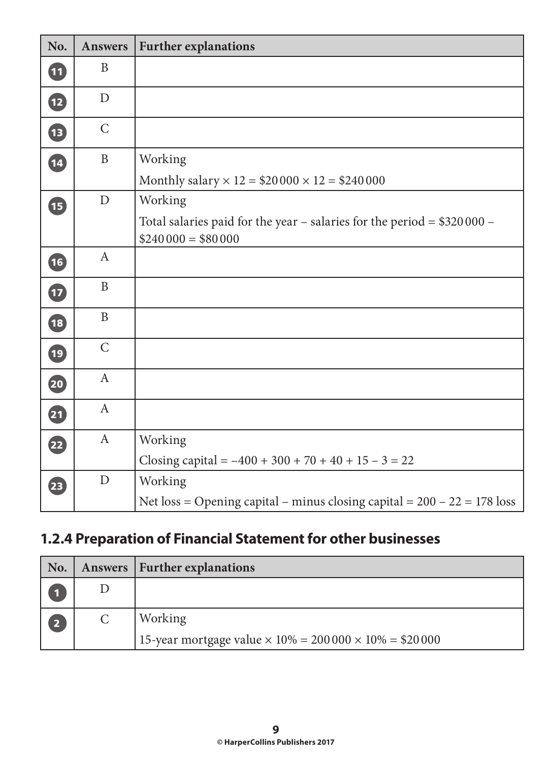| No.                      | <b>Answers</b>   | <b>Further explanations</b>                                                                               |
|--------------------------|------------------|-----------------------------------------------------------------------------------------------------------|
| 0                        | B                |                                                                                                           |
| $\mathbf{D}$             | $\mathbf D$      |                                                                                                           |
| <b>IB</b>                | $\mathsf{C}$     |                                                                                                           |
| 14                       | $\, {\bf B}$     | Working<br>Monthly salary $\times$ 12 = \$20 000 $\times$ 12 = \$240 000                                  |
| <b>B</b>                 | $\mathbf D$      | Working<br>Total salaries paid for the year – salaries for the period = $$320000 -$<br>$$240000 = $80000$ |
| 16                       | $\mathbf{A}$     |                                                                                                           |
| $\mathbf{D}$             | $\mathbf B$      |                                                                                                           |
| 18                       | $\mathbf B$      |                                                                                                           |
| $\overline{19}$          | $\mathsf{C}$     |                                                                                                           |
| 20                       | $\mathbf{A}$     |                                                                                                           |
| 21                       | $\mathbf{A}$     |                                                                                                           |
| $\overline{22}$          | $\boldsymbol{A}$ | Working<br>Closing capital = $-400 + 300 + 70 + 40 + 15 - 3 = 22$                                         |
| $\overline{\mathbf{23}}$ | $\mathbf D$      | Working<br>Net loss = Opening capital – minus closing capital = $200 - 22 = 178$ loss                     |

# **1.2.4 Preparation of Financial Statement for other businesses**

| No. | Answers   Further explanations                                        |
|-----|-----------------------------------------------------------------------|
|     |                                                                       |
| 2   | Working                                                               |
|     | 15-year mortgage value $\times$ 10% = 200 000 $\times$ 10% = \$20 000 |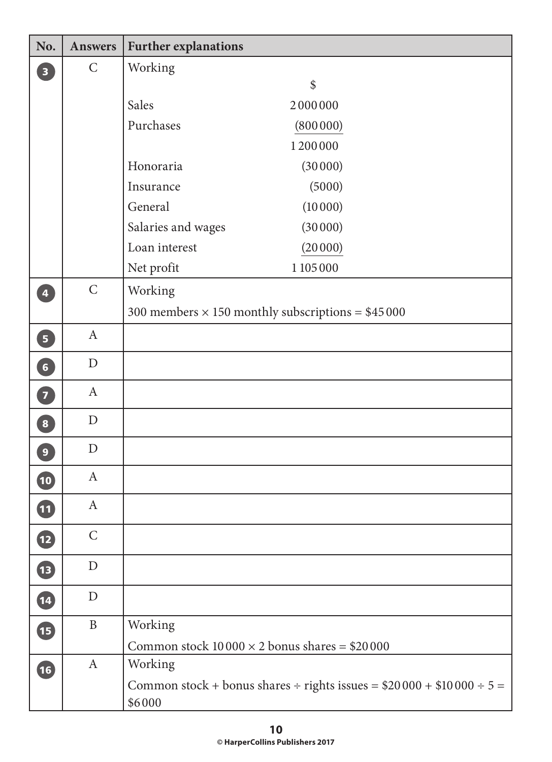| No.                      | <b>Answers</b>   | <b>Further explanations</b>                          |                                                                          |
|--------------------------|------------------|------------------------------------------------------|--------------------------------------------------------------------------|
| $\overline{\mathbf{3}}$  | $\mathsf{C}$     | Working                                              |                                                                          |
|                          |                  |                                                      | \$                                                                       |
|                          |                  | <b>Sales</b>                                         | 2000000                                                                  |
|                          |                  | Purchases                                            | (800000)                                                                 |
|                          |                  |                                                      | 1200000                                                                  |
|                          |                  | Honoraria                                            | (30000)                                                                  |
|                          |                  | Insurance                                            | (5000)                                                                   |
|                          |                  | General                                              | (10000)                                                                  |
|                          |                  | Salaries and wages                                   | (30000)                                                                  |
|                          |                  | Loan interest                                        | (20000)                                                                  |
|                          |                  | Net profit                                           | 1 105 000                                                                |
| $\overline{4}$           | $\mathsf C$      | Working                                              |                                                                          |
|                          |                  |                                                      | 300 members $\times$ 150 monthly subscriptions = \$45 000                |
| $\overline{\mathbf{5}}$  | $\mathbf{A}$     |                                                      |                                                                          |
| $\boxed{6}$              | $\mathbf D$      |                                                      |                                                                          |
| $\overline{z}$           | $\mathbf{A}$     |                                                      |                                                                          |
| $\mathbf{8}$             | $\mathbf D$      |                                                      |                                                                          |
| $\overline{9}$           | $\mathbf D$      |                                                      |                                                                          |
| 10                       | $\mathbf{A}$     |                                                      |                                                                          |
| $\overline{\mathbf{11}}$ | $\boldsymbol{A}$ |                                                      |                                                                          |
| $\mathbf{E}$             | $\mathsf{C}$     |                                                      |                                                                          |
| <b>B</b>                 | $\mathbf D$      |                                                      |                                                                          |
| 14                       | $\mathbf D$      |                                                      |                                                                          |
| <b>ID</b>                | $\mathbf B$      | Working                                              |                                                                          |
|                          |                  | Common stock $10000 \times 2$ bonus shares = \$20000 |                                                                          |
| 16                       | $\mathbf{A}$     | Working                                              |                                                                          |
|                          |                  | \$6000                                               | Common stock + bonus shares ÷ rights issues = $$20000 + $10000 \div 5 =$ |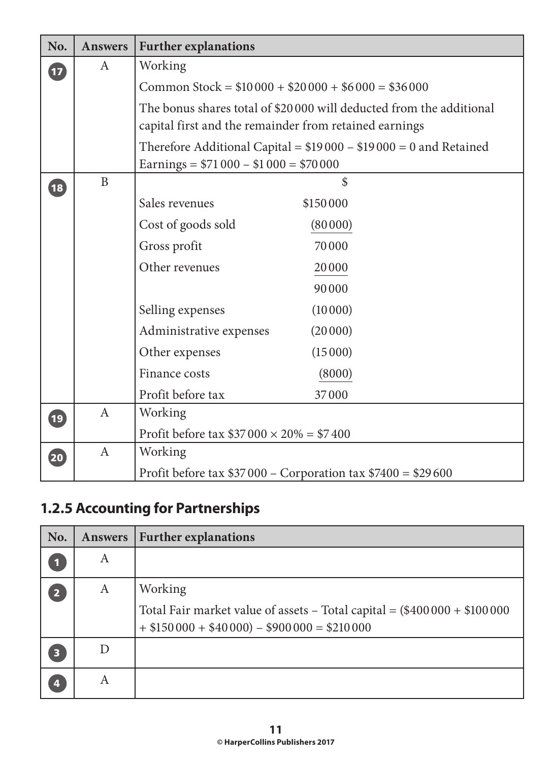| No.                                 | <b>Answers</b> | <b>Further explanations</b>                                       |                                                                      |  |
|-------------------------------------|----------------|-------------------------------------------------------------------|----------------------------------------------------------------------|--|
| Working<br>$\mathbf{A}$<br>$\bf{1}$ |                |                                                                   |                                                                      |  |
|                                     |                | Common Stock = $$10000 + $20000 + $6000 = $36000$                 |                                                                      |  |
|                                     |                | capital first and the remainder from retained earnings            | The bonus shares total of \$20 000 will deducted from the additional |  |
|                                     |                | Earnings = $$71\,000 - $1\,000 = $70\,000$                        | Therefore Additional Capital = $$19000 - $19000 = 0$ and Retained    |  |
| $\overline{18}$                     | $\mathbf{B}$   |                                                                   | \$                                                                   |  |
|                                     |                | Sales revenues                                                    | \$150000                                                             |  |
|                                     |                | Cost of goods sold                                                | (80000)                                                              |  |
|                                     |                | Gross profit                                                      | 70000                                                                |  |
|                                     |                | Other revenues                                                    | 20000                                                                |  |
|                                     |                |                                                                   | 90000                                                                |  |
|                                     |                | Selling expenses                                                  | (10000)                                                              |  |
|                                     |                | Administrative expenses                                           | (20000)                                                              |  |
|                                     |                | Other expenses                                                    | (15000)                                                              |  |
|                                     |                | Finance costs                                                     | (8000)                                                               |  |
|                                     |                | Profit before tax                                                 | 37000                                                                |  |
| $\overline{19}$                     | $\mathbf{A}$   | Working                                                           |                                                                      |  |
|                                     |                | Profit before tax $$37\,000 \times 20\% = $7\,400$                |                                                                      |  |
| 20                                  | $\mathbf{A}$   | Working                                                           |                                                                      |  |
|                                     |                | Profit before tax $$37\,000 -$ Corporation tax $$7400 = $29\,600$ |                                                                      |  |

# **1.2.5 Accounting for Partnerships**

| No. | Answers | <b>Further explanations</b>                                                                                                                |
|-----|---------|--------------------------------------------------------------------------------------------------------------------------------------------|
| и   | A       |                                                                                                                                            |
| 2   | A       | Working<br>Total Fair market value of assets - Total capital = $(\$400000 + \$100000$<br>$+$ \$150 000 + \$40 000) - \$900 000 = \$210 000 |
| 3   |         |                                                                                                                                            |
| 4   | A       |                                                                                                                                            |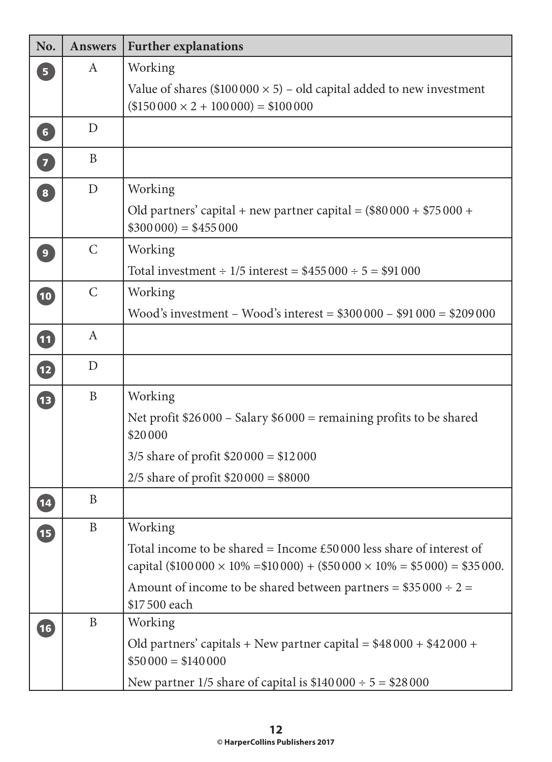| No.            | <b>Answers</b>   | <b>Further explanations</b>                                                                                                                                          |
|----------------|------------------|----------------------------------------------------------------------------------------------------------------------------------------------------------------------|
| 5 <sup>1</sup> | $\mathbf{A}$     | Working                                                                                                                                                              |
|                |                  | Value of shares (\$100000 $\times$ 5) – old capital added to new investment<br>$($150000 \times 2 + 100000) = $100000$                                               |
| $\boxed{6}$    | D                |                                                                                                                                                                      |
| $\boxed{7}$    | B                |                                                                                                                                                                      |
| 8              | $\mathbf D$      | Working                                                                                                                                                              |
|                |                  | Old partners' capital + new partner capital = $(\$80000 + \$75000 +$<br>$$300000 = $455000$                                                                          |
| $\overline{9}$ | $\mathsf{C}$     | Working                                                                                                                                                              |
|                |                  | Total investment $\div 1/5$ interest = \$455 000 $\div 5$ = \$91 000                                                                                                 |
| 10             | $\mathcal{C}$    | Working                                                                                                                                                              |
|                |                  | Wood's investment – Wood's interest = $$300000 - $91000 = $209000$                                                                                                   |
| 0              | $\mathbf{A}$     |                                                                                                                                                                      |
| $\mathbf{E}$   | D                |                                                                                                                                                                      |
| 13             | B                | Working                                                                                                                                                              |
|                |                  | Net profit $$26\,000 -$ Salary $$6\,000 =$ remaining profits to be shared<br>\$20000                                                                                 |
|                |                  | $3/5$ share of profit \$20000 = \$12000                                                                                                                              |
|                |                  | 2/5 share of profit $$20\,000 = $8000$                                                                                                                               |
|                | $\boldsymbol{B}$ |                                                                                                                                                                      |
| <b>15</b>      | B                | Working                                                                                                                                                              |
|                |                  | Total income to be shared = Income $£50000$ less share of interest of<br>capital (\$100 000 $\times$ 10% = \$10 000) + (\$50 000 $\times$ 10% = \$5 000) = \$35 000. |
|                |                  | Amount of income to be shared between partners = $$35\,000 \div 2 =$<br>\$17500 each                                                                                 |
| (16)           | B                | Working                                                                                                                                                              |
|                |                  | Old partners' capitals + New partner capital = $$48\,000 + $42\,000 +$<br>$$50000 = $140000$                                                                         |
|                |                  | New partner 1/5 share of capital is $$140000 \div 5 = $28000$                                                                                                        |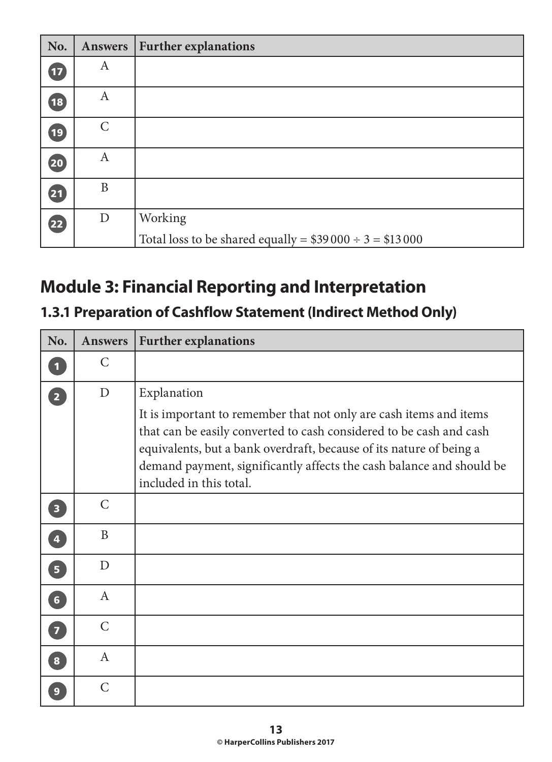| No.             | <b>Answers</b> | <b>Further explanations</b>                                    |
|-----------------|----------------|----------------------------------------------------------------|
| $\mathbf{I}$    | $\mathbf{A}$   |                                                                |
| $\overline{13}$ | A              |                                                                |
| (19)            | $\mathcal{C}$  |                                                                |
| 20              | A              |                                                                |
| 21              | B              |                                                                |
| 22              | $\mathbf D$    | Working                                                        |
|                 |                | Total loss to be shared equally = $$39\,000 \div 3 = $13\,000$ |

# **Module 3: Financial Reporting and Interpretation**

# **1.3.1 Preparation of Cashflow Statement (Indirect Method Only)**

| No.                     | <b>Answers</b> | <b>Further explanations</b>                                                                                                                                                                                                                                                                                                        |
|-------------------------|----------------|------------------------------------------------------------------------------------------------------------------------------------------------------------------------------------------------------------------------------------------------------------------------------------------------------------------------------------|
| $\mathbf 1$             | $\mathsf{C}$   |                                                                                                                                                                                                                                                                                                                                    |
| $\boxed{2}$             | D              | Explanation<br>It is important to remember that not only are cash items and items<br>that can be easily converted to cash considered to be cash and cash<br>equivalents, but a bank overdraft, because of its nature of being a<br>demand payment, significantly affects the cash balance and should be<br>included in this total. |
| $\overline{\mathbf{3}}$ | $\mathcal{C}$  |                                                                                                                                                                                                                                                                                                                                    |
| $\overline{4}$          | B              |                                                                                                                                                                                                                                                                                                                                    |
| 5                       | D              |                                                                                                                                                                                                                                                                                                                                    |
| 6 <sup>1</sup>          | $\mathsf{A}$   |                                                                                                                                                                                                                                                                                                                                    |
| $\overline{z}$          | $\mathcal{C}$  |                                                                                                                                                                                                                                                                                                                                    |
| $\sqrt{8}$              | $\mathsf{A}$   |                                                                                                                                                                                                                                                                                                                                    |
| $\overline{9}$          | $\overline{C}$ |                                                                                                                                                                                                                                                                                                                                    |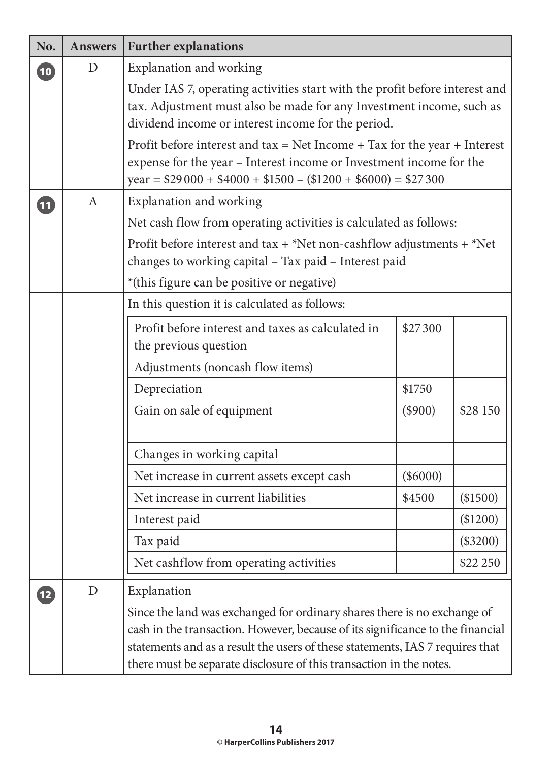| No.             | <b>Answers</b> | <b>Further explanations</b>                                                                                                                                                                                                                                                                                                       |            |            |
|-----------------|----------------|-----------------------------------------------------------------------------------------------------------------------------------------------------------------------------------------------------------------------------------------------------------------------------------------------------------------------------------|------------|------------|
| $\overline{10}$ | D              | Explanation and working                                                                                                                                                                                                                                                                                                           |            |            |
|                 |                | Under IAS 7, operating activities start with the profit before interest and<br>tax. Adjustment must also be made for any Investment income, such as<br>dividend income or interest income for the period.                                                                                                                         |            |            |
|                 |                | Profit before interest and $tax = Net$ Income + Tax for the year + Interest<br>expense for the year - Interest income or Investment income for the<br>$year = $29000 + $4000 + $1500 - ($1200 + $6000) = $27300$                                                                                                                  |            |            |
| $\boxed{11}$    | $\mathbf{A}$   | Explanation and working                                                                                                                                                                                                                                                                                                           |            |            |
|                 |                | Net cash flow from operating activities is calculated as follows:                                                                                                                                                                                                                                                                 |            |            |
|                 |                | Profit before interest and tax + *Net non-cashflow adjustments + *Net<br>changes to working capital - Tax paid - Interest paid                                                                                                                                                                                                    |            |            |
|                 |                | *(this figure can be positive or negative)                                                                                                                                                                                                                                                                                        |            |            |
|                 |                | In this question it is calculated as follows:                                                                                                                                                                                                                                                                                     |            |            |
|                 |                | Profit before interest and taxes as calculated in<br>the previous question                                                                                                                                                                                                                                                        | \$27300    |            |
|                 |                | Adjustments (noncash flow items)                                                                                                                                                                                                                                                                                                  |            |            |
|                 |                | Depreciation                                                                                                                                                                                                                                                                                                                      | \$1750     |            |
|                 |                | Gain on sale of equipment                                                                                                                                                                                                                                                                                                         | $(\$900)$  | \$28 150   |
|                 |                |                                                                                                                                                                                                                                                                                                                                   |            |            |
|                 |                | Changes in working capital                                                                                                                                                                                                                                                                                                        |            |            |
|                 |                | Net increase in current assets except cash                                                                                                                                                                                                                                                                                        | $(\$6000)$ |            |
|                 |                | Net increase in current liabilities                                                                                                                                                                                                                                                                                               | \$4500     | (\$1500)   |
|                 |                | Interest paid                                                                                                                                                                                                                                                                                                                     |            | (\$1200)   |
|                 |                | Tax paid                                                                                                                                                                                                                                                                                                                          |            | $(\$3200)$ |
|                 |                | Net cashflow from operating activities                                                                                                                                                                                                                                                                                            |            | \$22 250   |
| $\mathbf{12}$   | D              | Explanation<br>Since the land was exchanged for ordinary shares there is no exchange of<br>cash in the transaction. However, because of its significance to the financial<br>statements and as a result the users of these statements, IAS 7 requires that<br>there must be separate disclosure of this transaction in the notes. |            |            |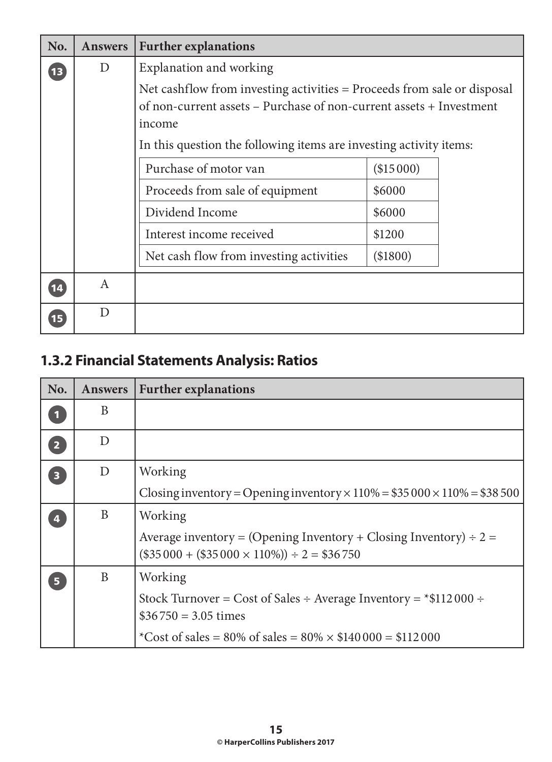| No. | <b>Answers</b> | <b>Further explanations</b>                                                                                                                                                                                                    |            |
|-----|----------------|--------------------------------------------------------------------------------------------------------------------------------------------------------------------------------------------------------------------------------|------------|
| 13  | D              | Explanation and working                                                                                                                                                                                                        |            |
|     |                | Net cashflow from investing activities = Proceeds from sale or disposal<br>of non-current assets - Purchase of non-current assets + Investment<br>income<br>In this question the following items are investing activity items: |            |
|     |                |                                                                                                                                                                                                                                |            |
|     |                | Purchase of motor van                                                                                                                                                                                                          | (\$15000)  |
|     |                | Proceeds from sale of equipment                                                                                                                                                                                                | \$6000     |
|     |                | Dividend Income                                                                                                                                                                                                                | \$6000     |
|     |                | Interest income received                                                                                                                                                                                                       | \$1200     |
|     |                | Net cash flow from investing activities                                                                                                                                                                                        | $(\$1800)$ |
| 14  | A              |                                                                                                                                                                                                                                |            |
| 15  | D              |                                                                                                                                                                                                                                |            |

# **1.3.2 Financial Statements Analysis: Ratios**

| No.                     | <b>Answers</b> | <b>Further explanations</b>                                                                                                    |
|-------------------------|----------------|--------------------------------------------------------------------------------------------------------------------------------|
|                         | B              |                                                                                                                                |
| $\overline{2}$          | D              |                                                                                                                                |
| $\overline{\mathbf{3}}$ | D              | Working                                                                                                                        |
|                         |                | Closing inventory = Opening inventory $\times$ 110% = \$35 000 $\times$ 110% = \$38 500                                        |
|                         | B              | Working                                                                                                                        |
|                         |                | Average inventory = (Opening Inventory + Closing Inventory) $\div$ 2 =<br>$(\$35000 + (\$35000 \times 110\%) \div 2 = \$36750$ |
| Б                       | B              | Working                                                                                                                        |
|                         |                | Stock Turnover = Cost of Sales ÷ Average Inventory = $*$ \$112000 ÷<br>$$36750 = 3.05$ times                                   |
|                         |                | *Cost of sales = 80% of sales = $80\% \times \$140000 = \$112000$                                                              |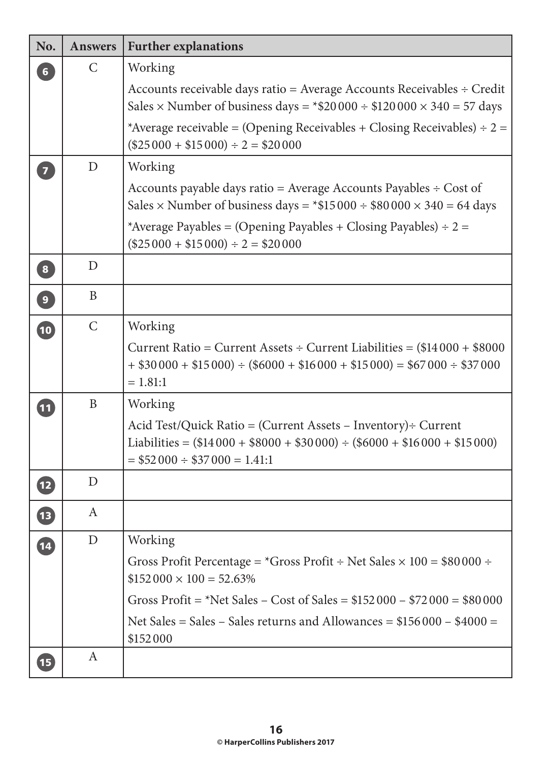| No.                     | <b>Answers</b>   | <b>Further explanations</b>                                                                                                                                                         |
|-------------------------|------------------|-------------------------------------------------------------------------------------------------------------------------------------------------------------------------------------|
| 6 <sup>1</sup>          | $\mathsf{C}$     | Working                                                                                                                                                                             |
|                         |                  | Accounts receivable days ratio = Average Accounts Receivables $\div$ Credit<br>Sales $\times$ Number of business days = $*$ \$20000 ÷ \$120000 $\times$ 340 = 57 days               |
|                         |                  | *Average receivable = (Opening Receivables + Closing Receivables) ÷ 2 =<br>$($25\,000 + $15\,000) \div 2 = $20\,000$                                                                |
| $\overline{\mathbf{z}}$ | D                | Working                                                                                                                                                                             |
|                         |                  | Accounts payable days ratio = Average Accounts Payables $\div$ Cost of<br>Sales $\times$ Number of business days = *\$15 000 ÷ \$80 000 $\times$ 340 = 64 days                      |
|                         |                  | *Average Payables = (Opening Payables + Closing Payables) $\div$ 2 =<br>$($25\,000 + $15\,000) \div 2 = $20\,000$                                                                   |
| $\boxed{8}$             | D                |                                                                                                                                                                                     |
| $\boxed{9}$             | B                |                                                                                                                                                                                     |
| $\overline{10}$         | $\mathsf{C}$     | Working                                                                                                                                                                             |
|                         |                  | Current Ratio = Current Assets ÷ Current Liabilities = $(\$14000 + \$8000$<br>$+$ \$30000 + \$15000) ÷ (\$6000 + \$16000 + \$15000) = \$67000 ÷ \$37000<br>$= 1.81:1$               |
| $\boxed{11}$            | B                | Working                                                                                                                                                                             |
|                         |                  | Acid Test/Quick Ratio = (Current Assets - Inventory) ÷ Current<br>Liabilities = $(\$14000 + \$8000 + \$30000) \div (\$6000 + \$16000 + \$15000)$<br>$= $52000 \div $37000 = 1.41:1$ |
| $\overline{12}$         | D                |                                                                                                                                                                                     |
| $\boxed{13}$            | A                |                                                                                                                                                                                     |
| $\overline{14}$         | $\mathbf{D}$     | Working                                                                                                                                                                             |
|                         |                  | Gross Profit Percentage = $*G$ ross Profit ÷ Net Sales $\times$ 100 = \$80 000 ÷<br>$$152\,000 \times 100 = 52.63\%$                                                                |
|                         |                  | Gross Profit = *Net Sales – Cost of Sales = $$152\,000 - $72\,000 = $80\,000$                                                                                                       |
|                         |                  | Net Sales = Sales – Sales returns and Allowances = $$156000 - $4000 =$<br>\$152000                                                                                                  |
| $\boxed{15}$            | $\boldsymbol{A}$ |                                                                                                                                                                                     |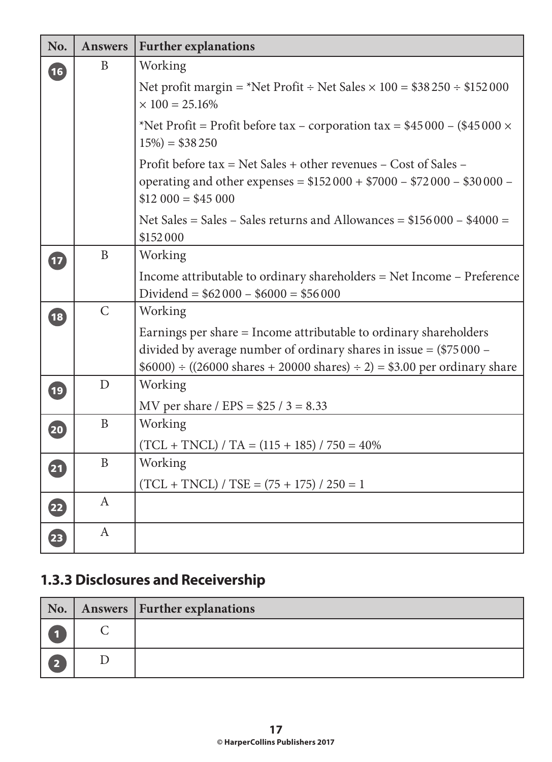| No.                      | <b>Answers</b> | <b>Further explanations</b>                                                                                                                                                                                            |
|--------------------------|----------------|------------------------------------------------------------------------------------------------------------------------------------------------------------------------------------------------------------------------|
| 16                       | B              | Working                                                                                                                                                                                                                |
|                          |                | Net profit margin = *Net Profit ÷ Net Sales $\times$ 100 = \$38 250 ÷ \$152 000<br>$\times$ 100 = 25.16%                                                                                                               |
|                          |                | *Net Profit = Profit before tax – corporation tax = $$45\,000 - ($45\,000 \times$<br>$15\%) = $38\,250$                                                                                                                |
|                          |                | Profit before tax = Net Sales + other revenues – Cost of Sales –<br>operating and other expenses = $$152000 + $7000 - $72000 - $30000 -$<br>$$12\,000 = $45\,000$                                                      |
|                          |                | Net Sales = Sales – Sales returns and Allowances = $$156000 - $4000 =$<br>\$152000                                                                                                                                     |
| $\overline{\mathbf{E}}$  | $\mathbf{B}$   | Working                                                                                                                                                                                                                |
|                          |                | Income attributable to ordinary shareholders = Net Income - Preference<br>Dividend = $$62\,000 - $6000 = $56\,000$                                                                                                     |
| 18                       | $\overline{C}$ | Working                                                                                                                                                                                                                |
|                          |                | Earnings per share = Income attributable to ordinary shareholders<br>divided by average number of ordinary shares in issue = $(\$75000 -$<br>$$6000$ + ((26000 shares + 20000 shares) ÷ 2) = \$3.00 per ordinary share |
| $\overline{19}$          | D              | Working                                                                                                                                                                                                                |
|                          |                | MV per share / EPS = $$25 / 3 = 8.33$                                                                                                                                                                                  |
| 20                       | $\mathbf{B}$   | Working                                                                                                                                                                                                                |
|                          |                | $(TCL + TNCL) / TA = (115 + 185) / 750 = 40\%$                                                                                                                                                                         |
| $\overline{\mathbf{21}}$ | $\mathbf B$    | Working                                                                                                                                                                                                                |
|                          |                | $(TCL + TNCL) / TSE = (75 + 175) / 250 = 1$                                                                                                                                                                            |
| $\overline{\mathbf{22}}$ | $\mathsf{A}$   |                                                                                                                                                                                                                        |
| $\overline{\mathbf{23}}$ | $\mathbf{A}$   |                                                                                                                                                                                                                        |

# **1.3.3 Disclosures and Receivership**

| No.                     | Answers   Further explanations |
|-------------------------|--------------------------------|
|                         |                                |
| $\overline{\mathbf{2}}$ |                                |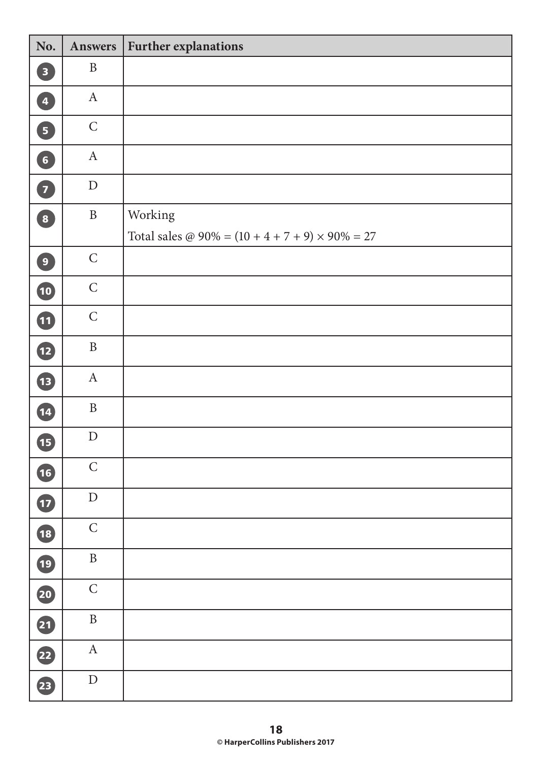| No.                               | Answers          | <b>Further explanations</b>                                         |
|-----------------------------------|------------------|---------------------------------------------------------------------|
| $\boxed{3}$                       | $\, {\bf B}$     |                                                                     |
| $\overline{4}$                    | $\mathbf{A}$     |                                                                     |
| $\boxed{5}$                       | $\mathsf C$      |                                                                     |
| $\boxed{6}$                       | $\boldsymbol{A}$ |                                                                     |
| 7                                 | ${\rm D}$        |                                                                     |
| $\begin{bmatrix} 8 \end{bmatrix}$ | $\, {\bf B}$     | Working<br>Total sales @ $90\% = (10 + 4 + 7 + 9) \times 90\% = 27$ |
| $\left(9\right)$                  | $\mathsf C$      |                                                                     |
| 10                                | $\mathsf C$      |                                                                     |
| 1                                 | $\mathsf C$      |                                                                     |
| $\mathbf{E}$                      | $\, {\bf B}$     |                                                                     |
| 13                                | $\mathbf{A}$     |                                                                     |
| 14                                | $\, {\bf B}$     |                                                                     |
| G                                 | ${\rm D}$        |                                                                     |
| $\overline{16}$                   | $\mathsf C$      |                                                                     |
| $\mathbf{t}$                      | ${\rm D}$        |                                                                     |
| 18                                | $\mathsf C$      |                                                                     |
| 19                                | $\, {\bf B}$     |                                                                     |
| 20                                | $\mathsf{C}$     |                                                                     |
| 21                                | $\, {\bf B}$     |                                                                     |
| 22                                | $\mathbf A$      |                                                                     |
| 23                                | ${\rm D}$        |                                                                     |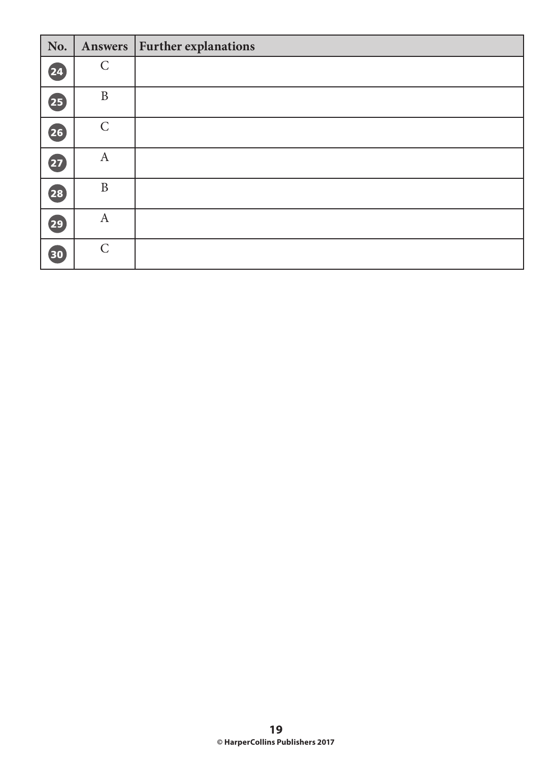| No.                      | Answers          | <b>Further explanations</b> |
|--------------------------|------------------|-----------------------------|
| 24                       | $\mathsf{C}$     |                             |
| $\overline{\mathbf{25}}$ | $\, {\bf B}$     |                             |
| $\overline{\mathbf{26}}$ | $\mathsf{C}$     |                             |
| $\overline{27}$          | $\boldsymbol{A}$ |                             |
| 28                       | $\mathbf{B}$     |                             |
| 29                       | $\boldsymbol{A}$ |                             |
| 30                       | $\mathsf{C}$     |                             |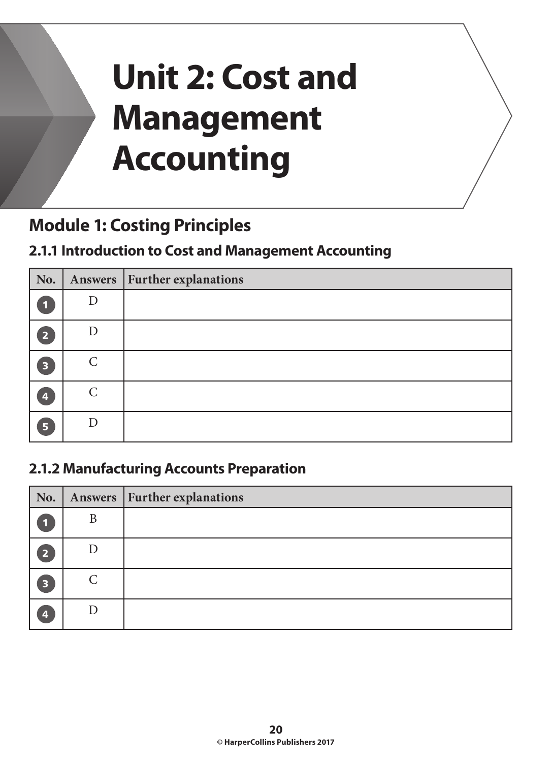# **Unit 2: Cost and Management Accounting**

# **Module 1: Costing Principles**

#### **2.1.1 Introduction to Cost and Management Accounting**

| No. |                    | Answers   Further explanations |
|-----|--------------------|--------------------------------|
|     |                    |                                |
| 2   |                    |                                |
| 3   | $\curvearrowright$ |                                |
| 4   | $\curvearrowright$ |                                |
| G   |                    |                                |

#### **2.1.2 Manufacturing Accounts Preparation**

| No. |   | Answers   Further explanations |
|-----|---|--------------------------------|
|     | B |                                |
| 2   |   |                                |
| 3   |   |                                |
| 4   |   |                                |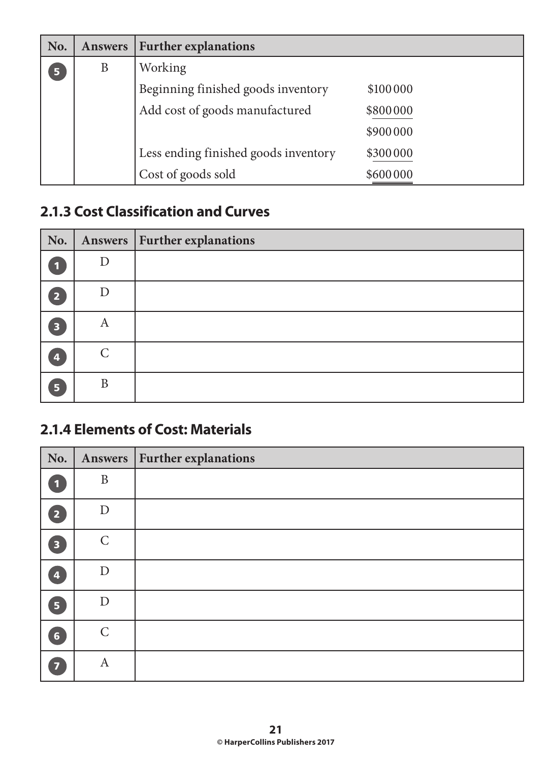| No. | <b>Answers</b> | <b>Further explanations</b>          |          |
|-----|----------------|--------------------------------------|----------|
| 5   | B              | Working                              |          |
|     |                | Beginning finished goods inventory   | \$100000 |
|     |                | Add cost of goods manufactured       | \$800000 |
|     |                |                                      | \$900000 |
|     |                | Less ending finished goods inventory | \$300000 |
|     |                | Cost of goods sold                   | \$600000 |

#### **2.1.3 Cost Classification and Curves**

| No.                     |                    | Answers   Further explanations |
|-------------------------|--------------------|--------------------------------|
| 1                       |                    |                                |
| D                       | D                  |                                |
| $\overline{\mathbf{3}}$ | A                  |                                |
| 4                       | $\curvearrowright$ |                                |
| $5\phantom{.}$          | B                  |                                |

#### **2.1.4 Elements of Cost: Materials**

| No.                     | Answers          | <b>Further explanations</b> |
|-------------------------|------------------|-----------------------------|
| $\mathbf{1}$            | $\mathbf{B}$     |                             |
| $\overline{2}$          | D                |                             |
| $\overline{\mathbf{3}}$ | $\mathcal{C}$    |                             |
| $\overline{\mathbf{A}}$ | D                |                             |
| 5 <sup>1</sup>          | D                |                             |
| $6\phantom{1}$          | $\mathcal{C}$    |                             |
| $\overline{\mathbf{z}}$ | $\boldsymbol{A}$ |                             |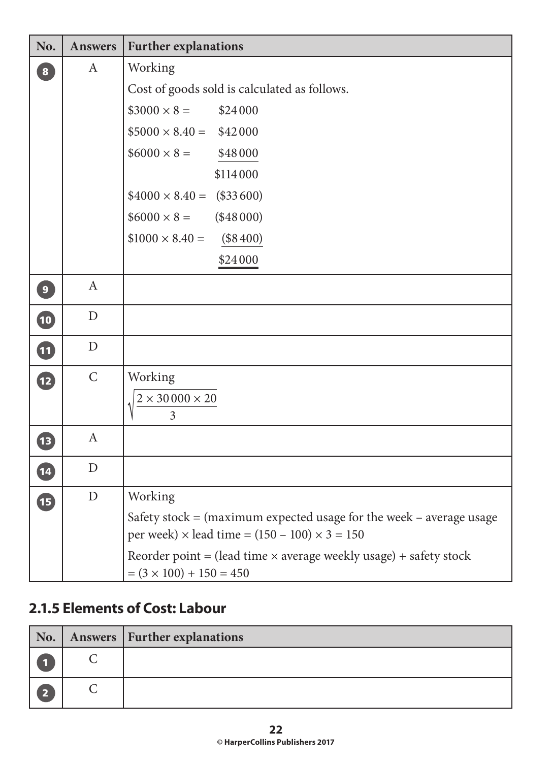| No.            | <b>Answers</b>   | <b>Further explanations</b>                                                                                                          |
|----------------|------------------|--------------------------------------------------------------------------------------------------------------------------------------|
| $\boxed{8}$    | $\mathbf{A}$     | Working                                                                                                                              |
|                |                  | Cost of goods sold is calculated as follows.                                                                                         |
|                |                  | $$3000 \times 8 =$<br>\$24000                                                                                                        |
|                |                  | $$5000 \times 8.40 = $42000$                                                                                                         |
|                |                  | $$6000 \times 8 =$<br>\$48000                                                                                                        |
|                |                  | \$114000                                                                                                                             |
|                |                  | $$4000 \times 8.40 = ($33600)$                                                                                                       |
|                |                  | $$6000 \times 8 =$<br>(\$48000)                                                                                                      |
|                |                  | $$1000 \times 8.40 =$<br>(\$8400)                                                                                                    |
|                |                  | \$24000                                                                                                                              |
| $\overline{9}$ | $\mathbf{A}$     |                                                                                                                                      |
| $\bullet$      | D                |                                                                                                                                      |
| 11             | D                |                                                                                                                                      |
| $\mathbf{12}$  | $\mathcal{C}$    | Working<br>$2\times30\,000\times20$<br>$\overline{3}$                                                                                |
| $\mathbf{B}$   | $\boldsymbol{A}$ |                                                                                                                                      |
| $\boxed{14}$   | D                |                                                                                                                                      |
| 15             | D                | Working                                                                                                                              |
|                |                  | Safety stock $=$ (maximum expected usage for the week – average usage<br>per week) $\times$ lead time = (150 – 100) $\times$ 3 = 150 |
|                |                  | Reorder point = (lead time $\times$ average weekly usage) + safety stock<br>$= (3 \times 100) + 150 = 450$                           |

#### **2.1.5 Elements of Cost: Labour**

| No.            | Answers   Further explanations |
|----------------|--------------------------------|
|                |                                |
| $\overline{2}$ |                                |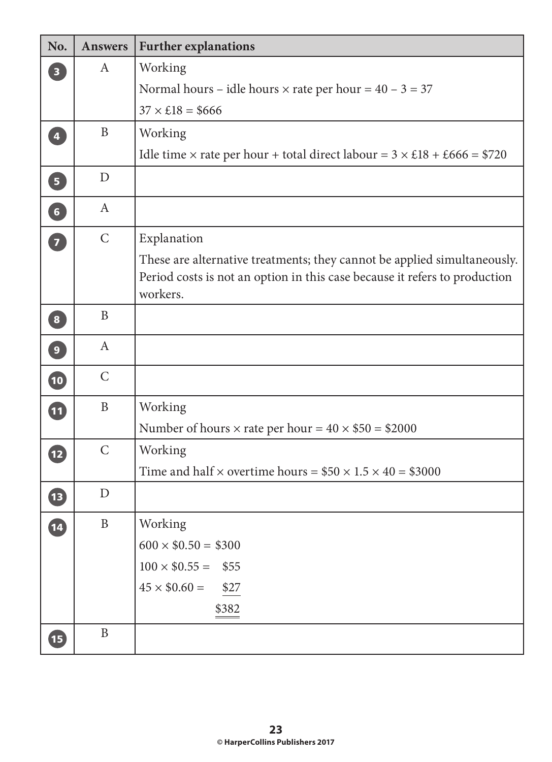| No.                     | <b>Answers</b> | <b>Further explanations</b>                                                           |
|-------------------------|----------------|---------------------------------------------------------------------------------------|
| $\overline{\mathbf{3}}$ | $\mathbf{A}$   | Working                                                                               |
|                         |                | Normal hours – idle hours $\times$ rate per hour = 40 – 3 = 37                        |
|                         |                | $37 \times £18 = $666$                                                                |
| $\overline{\mathbf{4}}$ | B              | Working                                                                               |
|                         |                | Idle time $\times$ rate per hour + total direct labour = $3 \times £18 + £666 = $720$ |
| $\boxed{5}$             | D              |                                                                                       |
| 6                       | $\mathbf{A}$   |                                                                                       |
| 7                       | $\mathcal{C}$  | Explanation                                                                           |
|                         |                | These are alternative treatments; they cannot be applied simultaneously.              |
|                         |                | Period costs is not an option in this case because it refers to production            |
|                         |                | workers.                                                                              |
| $\boxed{8}$             | B              |                                                                                       |
| $\boxed{9}$             | $\mathbf{A}$   |                                                                                       |
| $\bullet$               | $\mathcal{C}$  |                                                                                       |
| 11                      | $\mathbf{B}$   | Working                                                                               |
|                         |                | Number of hours $\times$ rate per hour = $40 \times $50 = $2000$                      |
| 12                      | $\mathcal{C}$  | Working                                                                               |
|                         |                | Time and half $\times$ overtime hours = \$50 $\times$ 1.5 $\times$ 40 = \$3000        |
| 1B)                     | D              |                                                                                       |
| 14                      | $\, {\bf B}$   | Working                                                                               |
|                         |                | $600 \times $0.50 = $300$                                                             |
|                         |                | $100 \times $0.55 =$<br>\$55                                                          |
|                         |                | $45 \times $0.60 =$<br>\$27                                                           |
|                         |                | \$382                                                                                 |
| <b>15</b>               | $\mathbf B$    |                                                                                       |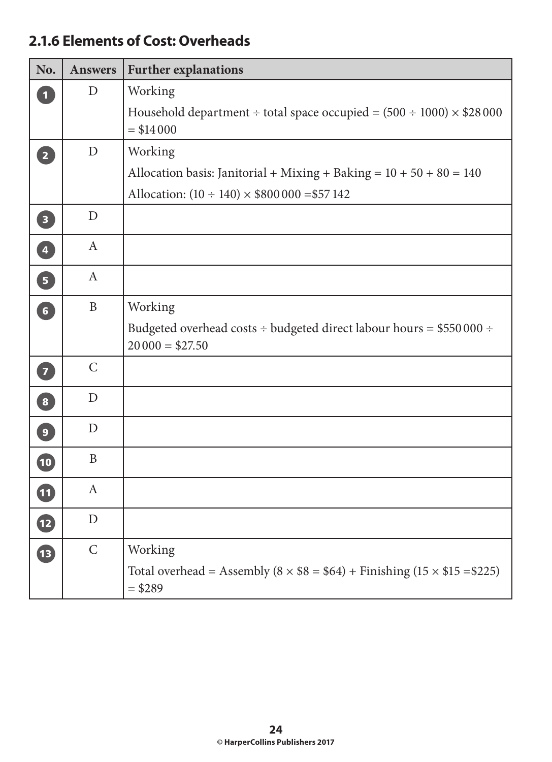#### **2.1.6 Elements of Cost: Overheads**

| No.                      | <b>Answers</b>   | <b>Further explanations</b>                                                                                                             |  |
|--------------------------|------------------|-----------------------------------------------------------------------------------------------------------------------------------------|--|
| $\overline{\mathbf{1}}$  | $\mathbf{D}$     | Working<br>Household department ÷ total space occupied = $(500 \div 1000) \times $28\,000$<br>$= $14000$                                |  |
| $\boxed{2}$              | $\mathbf{D}$     | Working<br>Allocation basis: Janitorial + Mixing + Baking = $10 + 50 + 80 = 140$<br>Allocation: $(10 \div 140) \times $800000 = $57142$ |  |
| $\overline{\mathbf{3}}$  | $\mathbf{D}$     |                                                                                                                                         |  |
| $\overline{\mathbf{4}}$  | $\mathbf{A}$     |                                                                                                                                         |  |
| $\overline{5}$           | $\mathbf{A}$     |                                                                                                                                         |  |
| $\boxed{6}$              | $\mathbf{B}$     | Working<br>Budgeted overhead costs $\div$ budgeted direct labour hours = \$550 000 $\div$<br>$20000 = $27.50$                           |  |
| 7                        | $\mathsf{C}$     |                                                                                                                                         |  |
| $\boxed{8}$              | $\mathbf{D}$     |                                                                                                                                         |  |
| $\boxed{9}$              | D                |                                                                                                                                         |  |
| $\overline{\mathbf{10}}$ | $\mathbf{B}$     |                                                                                                                                         |  |
| 11                       | $\boldsymbol{A}$ |                                                                                                                                         |  |
| $\boxed{12}$             | $\mathbf D$      |                                                                                                                                         |  |
| <b>13</b>                | $\mathsf{C}$     | Working<br>Total overhead = Assembly $(8 \times $8 = $64) +$ Finishing $(15 \times $15 = $225)$<br>$= $289$                             |  |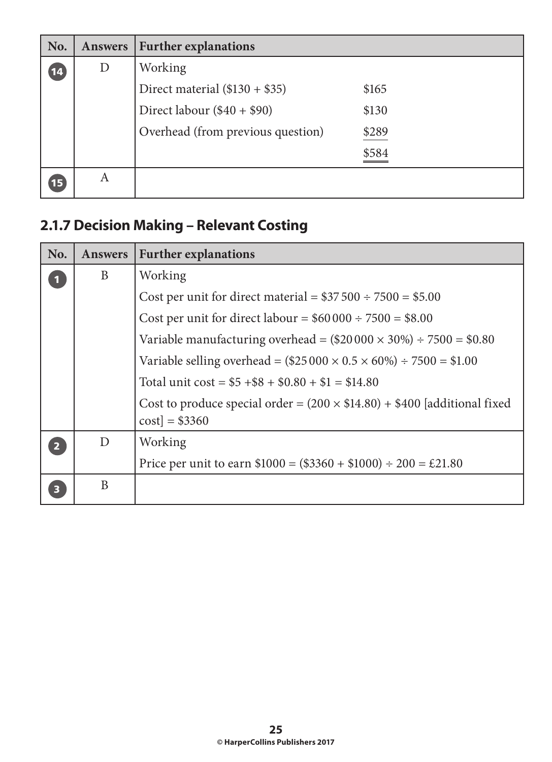| No.          | <b>Answers</b> | <b>Further explanations</b>       |       |
|--------------|----------------|-----------------------------------|-------|
| (14)         | $\mathbf{D}$   | Working                           |       |
|              |                | Direct material $(\$130 + \$35)$  | \$165 |
|              |                | Direct labour $(\$40 + \$90)$     | \$130 |
|              |                | Overhead (from previous question) | \$289 |
|              |                |                                   | \$584 |
| $\boxed{15}$ | A              |                                   |       |

# **2.1.7 Decision Making – Relevant Costing**

| No. | <b>Answers</b> | <b>Further explanations</b>                                                                       |
|-----|----------------|---------------------------------------------------------------------------------------------------|
|     | B              | Working                                                                                           |
|     |                | Cost per unit for direct material = $$37\,500 \div 7500 = $5.00$                                  |
|     |                | Cost per unit for direct labour = $$60\,000 \div 7500 = $8.00$                                    |
|     |                | Variable manufacturing overhead = $(\$20000 \times 30\%) \div 7500 = \$0.80$                      |
|     |                | Variable selling overhead = $(\$25000 \times 0.5 \times 60\%) \div 7500 = \$1.00$                 |
|     |                | Total unit $\cos t = $5 + $8 + $0.80 + $1 = $14.80$                                               |
|     |                | Cost to produce special order = $(200 \times $14.80) + $400$ [additional fixed<br>$cost$ = \$3360 |
|     | D              | Working                                                                                           |
|     |                | Price per unit to earn $$1000 = ($3360 + $1000) \div 200 = £21.80$                                |
|     | B              |                                                                                                   |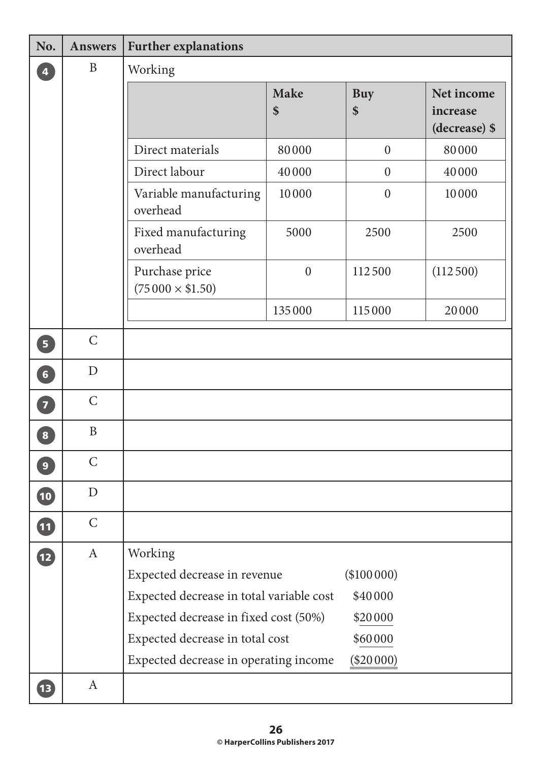| No.                      | <b>Answers</b> | <b>Further explanations</b>              |                   |                  |                                         |  |  |  |
|--------------------------|----------------|------------------------------------------|-------------------|------------------|-----------------------------------------|--|--|--|
| $\overline{\mathbf{4}}$  | $\mathbf B$    | Working                                  |                   |                  |                                         |  |  |  |
|                          |                |                                          | <b>Make</b><br>\$ | <b>Buy</b><br>\$ | Net income<br>increase<br>(decrease) \$ |  |  |  |
|                          |                | Direct materials                         | 80000             | $\overline{0}$   | 80000                                   |  |  |  |
|                          |                | Direct labour                            | 40000             | $\overline{0}$   | 40000                                   |  |  |  |
|                          |                | Variable manufacturing<br>overhead       | 10000             | $\boldsymbol{0}$ | 10000                                   |  |  |  |
|                          |                | Fixed manufacturing<br>overhead          | 5000              | 2500             | 2500                                    |  |  |  |
|                          |                | Purchase price<br>$(75000 \times $1.50)$ | $\boldsymbol{0}$  | 112500           | (112500)                                |  |  |  |
|                          |                |                                          | 135000            | 115000           | 20000                                   |  |  |  |
| $\overline{5}$           | $\mathcal{C}$  |                                          |                   |                  |                                         |  |  |  |
| $\boxed{6}$              | D              |                                          |                   |                  |                                         |  |  |  |
| $\overline{7}$           | $\mathcal{C}$  |                                          |                   |                  |                                         |  |  |  |
| $\mathbf{8}$             | $\mathbf B$    |                                          |                   |                  |                                         |  |  |  |
| $\overline{9}$           | $\mathcal{C}$  |                                          |                   |                  |                                         |  |  |  |
| $\mathbf{\overline{10}}$ | $\mathbf D$    |                                          |                   |                  |                                         |  |  |  |
| <b>11</b>                | $\mathsf{C}$   |                                          |                   |                  |                                         |  |  |  |
| $\mathbf{E}$             | $\mathbf{A}$   | Working                                  |                   |                  |                                         |  |  |  |
|                          |                | Expected decrease in revenue             |                   | (\$100000)       |                                         |  |  |  |
|                          |                | Expected decrease in total variable cost | \$40000           |                  |                                         |  |  |  |
|                          |                | Expected decrease in fixed cost (50%)    |                   | \$20000          |                                         |  |  |  |
|                          |                | Expected decrease in total cost          |                   | \$60000          |                                         |  |  |  |
|                          |                | Expected decrease in operating income    |                   | $(\$20000)$      |                                         |  |  |  |
| <b>13</b>                | $\mathbf{A}$   |                                          |                   |                  |                                         |  |  |  |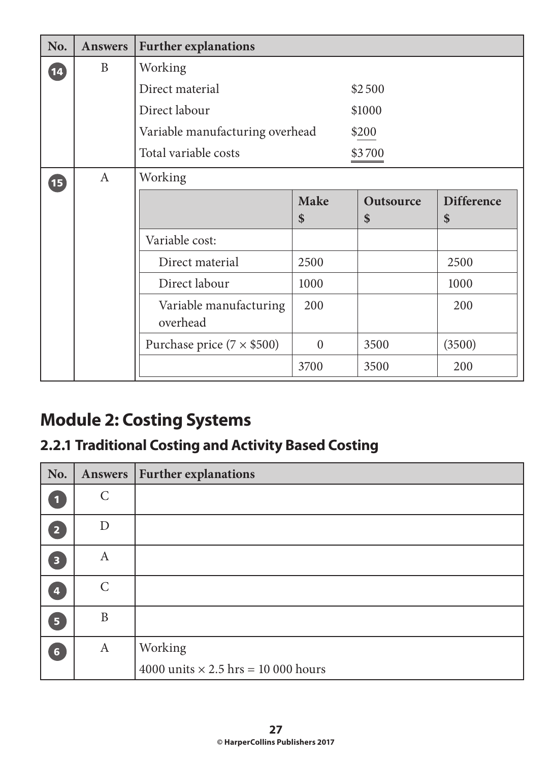| No.             | <b>Answers</b> | <b>Further explanations</b>               |                   |                        |                         |  |
|-----------------|----------------|-------------------------------------------|-------------------|------------------------|-------------------------|--|
| $\overline{14}$ | B              | Working                                   |                   |                        |                         |  |
|                 |                | Direct material                           |                   | \$2500                 |                         |  |
|                 |                | Direct labour                             |                   | \$1000                 |                         |  |
|                 |                | Variable manufacturing overhead           |                   | \$200                  |                         |  |
|                 |                | Total variable costs                      |                   | \$3700                 |                         |  |
| 伍               | $\mathbf{A}$   | Working                                   |                   |                        |                         |  |
|                 |                |                                           | <b>Make</b><br>\$ | <b>Outsource</b><br>\$ | <b>Difference</b><br>\$ |  |
|                 |                | Variable cost:                            |                   |                        |                         |  |
|                 |                |                                           |                   |                        |                         |  |
|                 |                | Direct material<br>2500                   |                   |                        | 2500                    |  |
|                 |                | Direct labour<br>1000                     |                   |                        | 1000                    |  |
|                 |                | 200<br>Variable manufacturing<br>overhead |                   |                        | 200                     |  |
|                 |                | Purchase price $(7 \times $500)$          | $\overline{0}$    | 3500                   | (3500)                  |  |
|                 |                |                                           | 3700              | 3500                   | 200                     |  |

# **Module 2: Costing Systems**

# **2.2.1 Traditional Costing and Activity Based Costing**

| No.                     | Answers          | <b>Further explanations</b>                |
|-------------------------|------------------|--------------------------------------------|
| $\blacksquare$          | $\mathcal{C}$    |                                            |
| $\overline{2}$          | D                |                                            |
| $\overline{\mathbf{3}}$ | A                |                                            |
| 4                       | $\mathcal{C}$    |                                            |
| 5 <sup>1</sup>          | $\mathbf{B}$     |                                            |
| $6\phantom{1}$          | $\boldsymbol{A}$ | Working                                    |
|                         |                  | 4000 units $\times$ 2.5 hrs = 10 000 hours |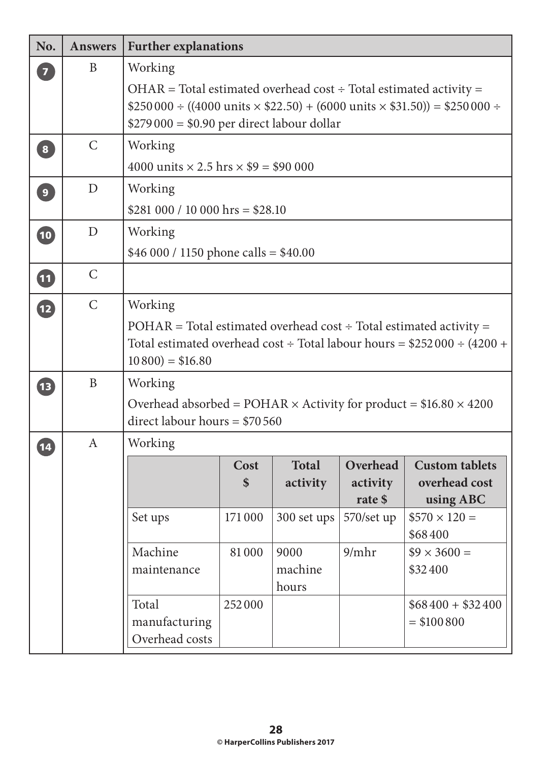| No.             | <b>Answers</b> | <b>Further explanations</b>                                                                                                   |                                                                                                                                                                                                                  |                          |                                 |                                                                              |  |  |
|-----------------|----------------|-------------------------------------------------------------------------------------------------------------------------------|------------------------------------------------------------------------------------------------------------------------------------------------------------------------------------------------------------------|--------------------------|---------------------------------|------------------------------------------------------------------------------|--|--|
| $\boxed{7}$     | B              | Working                                                                                                                       | $OHAR = Total$ estimated overhead cost ÷ Total estimated activity =<br>\$250 000 ÷ ((4000 units $\times$ \$22.50) + (6000 units $\times$ \$31.50)) = \$250 000 ÷<br>$$279\,000 = $0.90$ per direct labour dollar |                          |                                 |                                                                              |  |  |
| $\boxed{8}$     | $\mathcal{C}$  | Working<br>4000 units $\times$ 2.5 hrs $\times$ \$9 = \$90 000                                                                |                                                                                                                                                                                                                  |                          |                                 |                                                                              |  |  |
| $\boxed{9}$     | D              | Working<br>$$281\,000 / 10\,000$ hrs = \$28.10                                                                                |                                                                                                                                                                                                                  |                          |                                 |                                                                              |  |  |
| 10              | D              | Working<br>\$46 000 / 1150 phone calls = $$40.00$                                                                             |                                                                                                                                                                                                                  |                          |                                 |                                                                              |  |  |
| 0               | $\mathsf{C}$   |                                                                                                                               |                                                                                                                                                                                                                  |                          |                                 |                                                                              |  |  |
| $\mathbf{D}$    | $\mathsf{C}$   | Working<br>$POHAR = Total estimated overhead cost \div Total estimated activity =$<br>$10\,800$ = \$16.80                     |                                                                                                                                                                                                                  |                          |                                 | Total estimated overhead $\cos t$ ÷ Total labour hours = \$252 000 ÷ (4200 + |  |  |
| <b>1B</b>       | B              | Working<br>Overhead absorbed = POHAR $\times$ Activity for product = \$16.80 $\times$ 4200<br>direct labour hours = $$70,560$ |                                                                                                                                                                                                                  |                          |                                 |                                                                              |  |  |
| $\overline{14}$ | A              | Working                                                                                                                       | Cost<br>\$                                                                                                                                                                                                       | <b>Total</b><br>activity | Overhead<br>activity<br>rate \$ | <b>Custom tablets</b><br>overhead cost<br>using ABC                          |  |  |
|                 |                | Set ups                                                                                                                       | 171000                                                                                                                                                                                                           | 300 set ups              | 570/set up                      | $$570 \times 120 =$<br>\$68400                                               |  |  |
|                 |                | Machine<br>maintenance                                                                                                        | 81000                                                                                                                                                                                                            | 9000<br>machine<br>hours | 9/mhr                           | $$9 \times 3600 =$<br>\$32400                                                |  |  |
|                 |                | Total<br>manufacturing<br>Overhead costs                                                                                      | 252000                                                                                                                                                                                                           |                          |                                 | $$68400 + $32400$<br>$= $100800$                                             |  |  |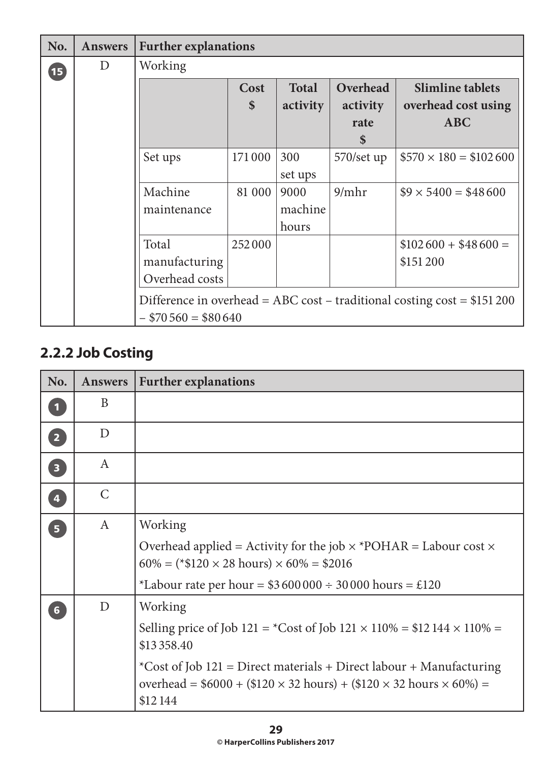| No.  | <b>Answers</b> | <b>Further explanations</b> |                           |              |                           |                                                                            |
|------|----------------|-----------------------------|---------------------------|--------------|---------------------------|----------------------------------------------------------------------------|
| (15) | D              | Working                     |                           |              |                           |                                                                            |
|      |                |                             | Cost                      | <b>Total</b> | Overhead                  | <b>Slimline tablets</b>                                                    |
|      |                |                             | $\boldsymbol{\mathsf{S}}$ | activity     | activity                  | overhead cost using                                                        |
|      |                |                             |                           |              | rate                      | <b>ABC</b>                                                                 |
|      |                |                             |                           |              | $\boldsymbol{\mathsf{s}}$ |                                                                            |
|      |                | Set ups                     | 171000                    | 300          | $570/\text{set up}$       | $$570 \times 180 = $102600$                                                |
|      |                |                             |                           | set ups      |                           |                                                                            |
|      |                | Machine                     | 81 000                    | 9000         | 9/mhr                     | $$9 \times 5400 = $48600$                                                  |
|      |                | maintenance                 |                           | machine      |                           |                                                                            |
|      |                |                             |                           | hours        |                           |                                                                            |
|      |                | Total                       | 252000                    |              |                           | $$102600 + $48600 =$                                                       |
|      |                | manufacturing               |                           |              |                           | \$151200                                                                   |
|      |                | Overhead costs              |                           |              |                           |                                                                            |
|      |                |                             |                           |              |                           | Difference in overhead = ABC cost – traditional costing cost = $$151\,200$ |
|      |                | $-$ \$70 560 = \$80 640     |                           |              |                           |                                                                            |

# **2.2.2 Job Costing**

| No.                     | <b>Answers</b>   | <b>Further explanations</b>                                                                                                                                                           |
|-------------------------|------------------|---------------------------------------------------------------------------------------------------------------------------------------------------------------------------------------|
| $\overline{\mathbf{1}}$ | B                |                                                                                                                                                                                       |
| $\overline{2}$          | D                |                                                                                                                                                                                       |
| $\overline{\mathbf{3}}$ | A                |                                                                                                                                                                                       |
| $\overline{\mathbf{4}}$ | $\mathcal{C}$    |                                                                                                                                                                                       |
| 5 <sup>1</sup>          | $\boldsymbol{A}$ | Working                                                                                                                                                                               |
|                         |                  | Overhead applied = Activity for the job $\times$ *POHAR = Labour cost $\times$<br>$60\% = (*120 \times 28 \text{ hours}) \times 60\% = $2016$                                         |
|                         |                  | *Labour rate per hour = $$3600000 \div 30000$ hours = £120                                                                                                                            |
| $6\phantom{1}$          | $\mathbf{D}$     | Working                                                                                                                                                                               |
|                         |                  | Selling price of Job 121 = *Cost of Job 121 $\times$ 110% = \$12 144 $\times$ 110% =<br>\$13 358.40                                                                                   |
|                         |                  | *Cost of Job 121 = Direct materials + Direct labour + Manufacturing<br>overhead = $$6000 + ($120 \times 32 \text{ hours}) + ($120 \times 32 \text{ hours} \times 60\%) =$<br>\$12 144 |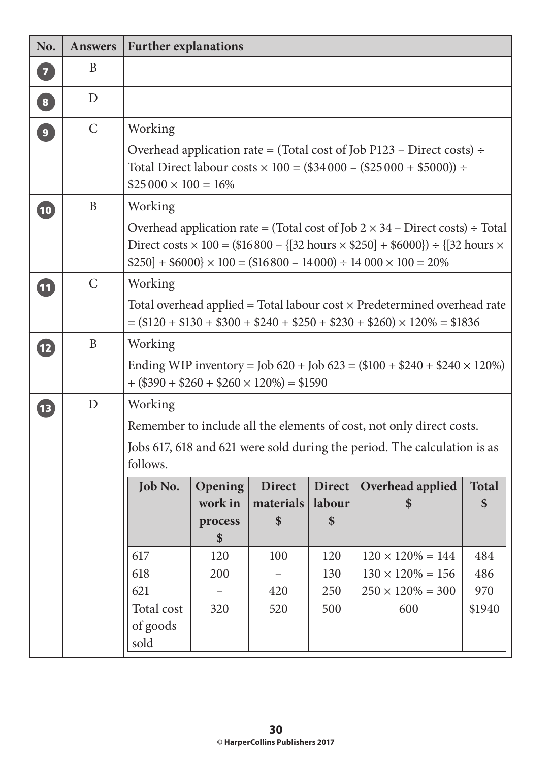| No.                     | <b>Answers</b> | <b>Further explanations</b>                      |                           |                            |            |                                                                                                                                                                                                                                                                             |                    |
|-------------------------|----------------|--------------------------------------------------|---------------------------|----------------------------|------------|-----------------------------------------------------------------------------------------------------------------------------------------------------------------------------------------------------------------------------------------------------------------------------|--------------------|
| $\overline{7}$          | B              |                                                  |                           |                            |            |                                                                                                                                                                                                                                                                             |                    |
| $\overline{\mathbf{8}}$ | D              |                                                  |                           |                            |            |                                                                                                                                                                                                                                                                             |                    |
| $\overline{9}$          | $\mathsf{C}$   | Working                                          |                           |                            |            |                                                                                                                                                                                                                                                                             |                    |
|                         |                | $$25\,000 \times 100 = 16\%$                     |                           |                            |            | Overhead application rate = (Total cost of Job P123 – Direct costs) ÷<br>Total Direct labour costs $\times$ 100 = (\$34 000 – (\$25 000 + \$5000)) ÷                                                                                                                        |                    |
| $\boxed{10}$            | $\mathbf{B}$   | Working                                          |                           |                            |            |                                                                                                                                                                                                                                                                             |                    |
|                         |                |                                                  |                           |                            |            | Overhead application rate = (Total cost of Job $2 \times 34$ – Direct costs) ÷ Total<br>Direct costs $\times$ 100 = (\$16 800 – {[32 hours $\times$ \$250] + \$6000}) ÷ {[32 hours $\times$<br>$$250] + $6000$ $\times 100 = ($16800 - 14000) \div 14000 \times 100 = 20\%$ |                    |
| $\boxed{11}$            | $\mathcal{C}$  | Working                                          |                           |                            |            |                                                                                                                                                                                                                                                                             |                    |
|                         |                |                                                  |                           |                            |            | Total overhead applied = Total labour $cost \times$ Predetermined overhead rate<br>$=(\$120 + \$130 + \$300 + \$240 + \$250 + \$230 + \$260) \times 120\% = \$1836$                                                                                                         |                    |
| $\overline{12}$         | $\mathbf B$    | Working                                          |                           |                            |            |                                                                                                                                                                                                                                                                             |                    |
|                         |                | $+(\$390 + \$260 + \$260 \times 120\%) = \$1590$ |                           |                            |            | Ending WIP inventory = Job 620 + Job 623 = $(\$100 + \$240 + \$240 \times 120\%)$                                                                                                                                                                                           |                    |
| <b>13</b>               | D              | Working                                          |                           |                            |            |                                                                                                                                                                                                                                                                             |                    |
|                         |                |                                                  |                           |                            |            | Remember to include all the elements of cost, not only direct costs.                                                                                                                                                                                                        |                    |
|                         |                |                                                  |                           |                            |            | Jobs 617, 618 and 621 were sold during the period. The calculation is as                                                                                                                                                                                                    |                    |
|                         |                | follows.                                         |                           |                            |            |                                                                                                                                                                                                                                                                             |                    |
|                         |                | <b>Job No.</b>                                   | <b>Opening</b><br>work in | <b>Direct</b><br>materials | labour     | Direct   Overhead applied<br>$\boldsymbol{\mathsf{S}}$                                                                                                                                                                                                                      | <b>Total</b><br>\$ |
|                         |                |                                                  | process                   | \$                         | \$         |                                                                                                                                                                                                                                                                             |                    |
|                         |                |                                                  | \$                        |                            |            |                                                                                                                                                                                                                                                                             |                    |
|                         |                | 617                                              | 120                       | 100                        | 120        | $120 \times 120\% = 144$                                                                                                                                                                                                                                                    | 484                |
|                         |                | 618<br>621                                       | 200                       | 420                        | 130        | $130 \times 120\% = 156$<br>$250 \times 120\% = 300$                                                                                                                                                                                                                        | 486<br>970         |
|                         |                | Total cost                                       | 320                       | 520                        | 250<br>500 | 600                                                                                                                                                                                                                                                                         | \$1940             |
|                         |                | of goods<br>sold                                 |                           |                            |            |                                                                                                                                                                                                                                                                             |                    |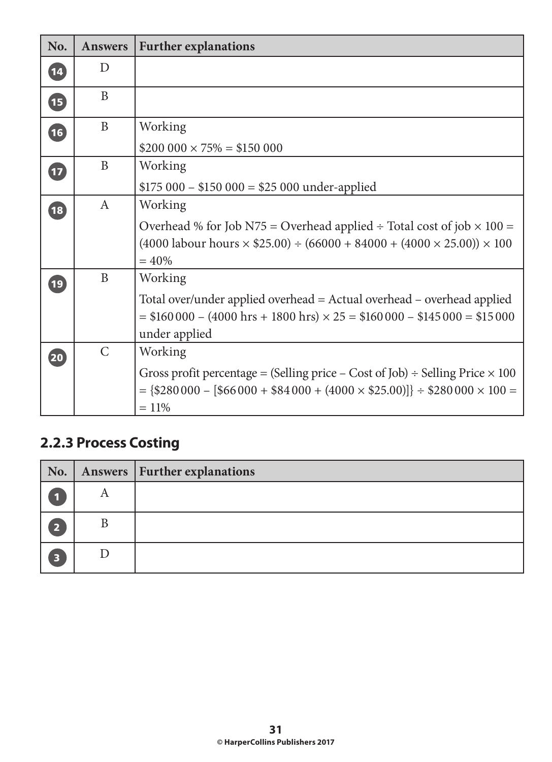| No.                      | <b>Answers</b> | <b>Further explanations</b>                                                                       |
|--------------------------|----------------|---------------------------------------------------------------------------------------------------|
| $\boxed{14}$             | D              |                                                                                                   |
| $\overline{\mathbf{15}}$ | B              |                                                                                                   |
| $\overline{16}$          | B              | Working                                                                                           |
|                          |                | $$200\,000 \times 75\% = $150\,000$                                                               |
| $\overline{17}$          | B              | Working                                                                                           |
|                          |                | $$175\,000 - $150\,000 = $25\,000$ under-applied                                                  |
| 18                       | $\mathbf{A}$   | Working                                                                                           |
|                          |                | Overhead % for Job N75 = Overhead applied ÷ Total cost of job $\times$ 100 =                      |
|                          |                | $(4000 \text{ labour hours} \times $25.00) \div (66000 + 84000 + (4000 \times 25.00)) \times 100$ |
|                          |                | $= 40%$                                                                                           |
| $\boxed{19}$             | B              | Working                                                                                           |
|                          |                | Total over/under applied overhead = Actual overhead - overhead applied                            |
|                          |                | $= $160000 - (4000 hrs + 1800 hrs) \times 25 = $160000 - $145000 = $15000$                        |
|                          |                | under applied                                                                                     |
| $\overline{20}$          | $\mathsf{C}$   | Working                                                                                           |
|                          |                | Gross profit percentage = (Selling price – Cost of Job) ÷ Selling Price $\times$ 100              |
|                          |                | $=\{$280\,000 - $66\,000 + $84\,000 + (4000 \times $25.00)]\} \div $280\,000 \times 100 =$        |
|                          |                | $= 11\%$                                                                                          |

# **2.2.3 Process Costing**

| $\vert$ No. $\vert$ |   | Answers   Further explanations |
|---------------------|---|--------------------------------|
|                     | A |                                |
| Б                   |   |                                |
| 3                   |   |                                |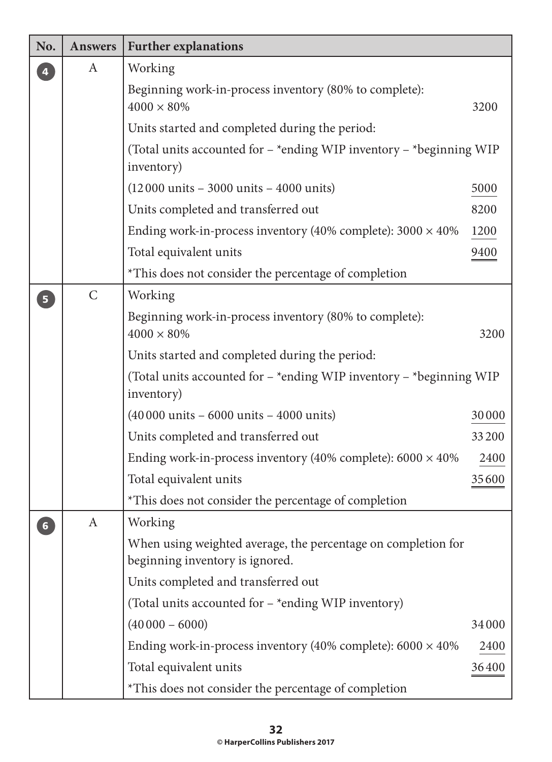| No.            | <b>Answers</b> | <b>Further explanations</b>                                                                      |       |
|----------------|----------------|--------------------------------------------------------------------------------------------------|-------|
|                | A              | Working                                                                                          |       |
|                |                | Beginning work-in-process inventory (80% to complete):<br>$4000 \times 80\%$                     | 3200  |
|                |                | Units started and completed during the period:                                                   |       |
|                |                | (Total units accounted for $-$ *ending WIP inventory $-$ *beginning WIP<br>inventory)            |       |
|                |                | $(12000 \text{ units} - 3000 \text{ units} - 4000 \text{ units})$                                | 5000  |
|                |                | Units completed and transferred out                                                              | 8200  |
|                |                | Ending work-in-process inventory (40% complete): $3000 \times 40\%$                              | 1200  |
|                |                | Total equivalent units                                                                           | 9400  |
|                |                | *This does not consider the percentage of completion                                             |       |
| 5              | $\mathcal{C}$  | Working                                                                                          |       |
|                |                | Beginning work-in-process inventory (80% to complete):<br>$4000 \times 80\%$                     | 3200  |
|                |                | Units started and completed during the period:                                                   |       |
|                |                | (Total units accounted for $-$ *ending WIP inventory $-$ *beginning WIP<br>inventory)            |       |
|                |                | $(40000 \text{ units} - 6000 \text{ units} - 4000 \text{ units})$                                | 30000 |
|                |                | Units completed and transferred out                                                              | 33200 |
|                |                | Ending work-in-process inventory (40% complete): $6000 \times 40\%$                              | 2400  |
|                |                | Total equivalent units                                                                           | 35600 |
|                |                | *This does not consider the percentage of completion                                             |       |
| $6\phantom{1}$ | A              | Working                                                                                          |       |
|                |                | When using weighted average, the percentage on completion for<br>beginning inventory is ignored. |       |
|                |                | Units completed and transferred out                                                              |       |
|                |                | (Total units accounted for - *ending WIP inventory)                                              |       |
|                |                | $(40000 - 6000)$                                                                                 | 34000 |
|                |                | Ending work-in-process inventory (40% complete): $6000 \times 40\%$                              | 2400  |
|                |                | Total equivalent units                                                                           | 36400 |
|                |                | *This does not consider the percentage of completion                                             |       |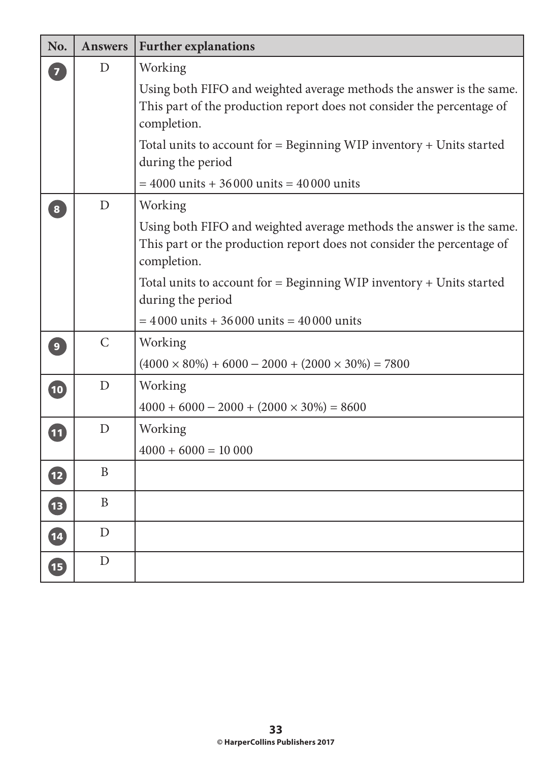| No.                      | <b>Answers</b> | <b>Further explanations</b>                                                                                                                                   |
|--------------------------|----------------|---------------------------------------------------------------------------------------------------------------------------------------------------------------|
| $\overline{7}$           | D              | Working                                                                                                                                                       |
|                          |                | Using both FIFO and weighted average methods the answer is the same.<br>This part of the production report does not consider the percentage of<br>completion. |
|                          |                | Total units to account for $=$ Beginning WIP inventory $+$ Units started<br>during the period                                                                 |
|                          |                | $= 4000$ units + 36000 units = 40000 units                                                                                                                    |
| $\overline{\mathbf{8}}$  | D              | Working                                                                                                                                                       |
|                          |                | Using both FIFO and weighted average methods the answer is the same.<br>This part or the production report does not consider the percentage of<br>completion. |
|                          |                | Total units to account for $=$ Beginning WIP inventory $+$ Units started<br>during the period                                                                 |
|                          |                | $= 4000$ units + 36000 units = 40000 units                                                                                                                    |
| 9                        | $\mathsf{C}$   | Working                                                                                                                                                       |
|                          |                | $(4000 \times 80\%) + 6000 - 2000 + (2000 \times 30\%) = 7800$                                                                                                |
| $\bullet$                | D              | Working                                                                                                                                                       |
|                          |                | $4000 + 6000 - 2000 + (2000 \times 30\%) = 8600$                                                                                                              |
| 11                       | D              | Working                                                                                                                                                       |
|                          |                | $4000 + 6000 = 10000$                                                                                                                                         |
| $\boxed{12}$             | B              |                                                                                                                                                               |
| 13                       | B              |                                                                                                                                                               |
| $\overline{14}$          | $\mathbf D$    |                                                                                                                                                               |
| $\overline{\mathbf{15}}$ | D              |                                                                                                                                                               |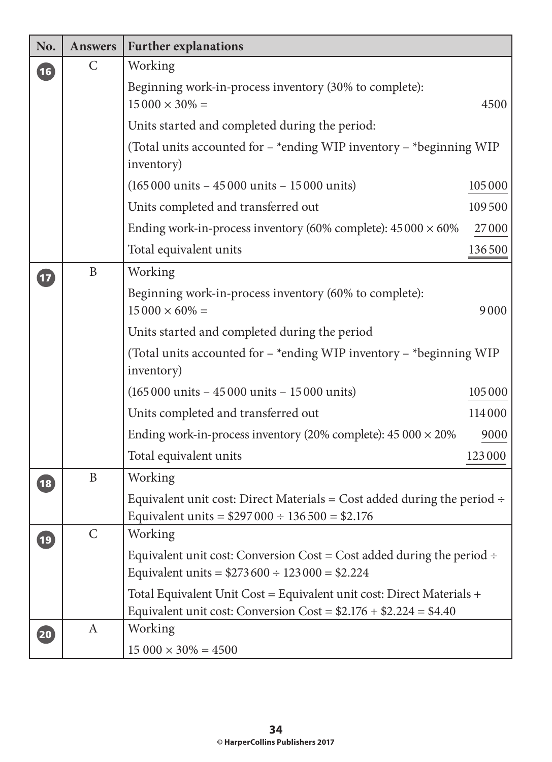| No.             | <b>Answers</b> | <b>Further explanations</b>                                                                                                                |         |
|-----------------|----------------|--------------------------------------------------------------------------------------------------------------------------------------------|---------|
| 16              | $\mathsf{C}$   | Working                                                                                                                                    |         |
|                 |                | Beginning work-in-process inventory (30% to complete):<br>$15000 \times 30\% =$                                                            | 4500    |
|                 |                | Units started and completed during the period:                                                                                             |         |
|                 |                | (Total units accounted for - *ending WIP inventory - *beginning WIP<br>inventory)                                                          |         |
|                 |                | $(165000 \text{ units} - 45000 \text{ units} - 15000 \text{ units})$                                                                       | 105 000 |
|                 |                | Units completed and transferred out                                                                                                        | 109500  |
|                 |                | Ending work-in-process inventory (60% complete): $45000 \times 60\%$                                                                       | 27000   |
|                 |                | Total equivalent units                                                                                                                     | 136500  |
| $\boxed{17}$    | $\mathbf{B}$   | Working                                                                                                                                    |         |
|                 |                | Beginning work-in-process inventory (60% to complete):<br>$15000 \times 60\% =$                                                            | 9000    |
|                 |                | Units started and completed during the period                                                                                              |         |
|                 |                | (Total units accounted for $-$ *ending WIP inventory $-$ *beginning WIP<br>inventory)                                                      |         |
|                 |                | $(165000 \text{ units} - 45000 \text{ units} - 15000 \text{ units})$                                                                       | 105000  |
|                 |                | Units completed and transferred out                                                                                                        | 114000  |
|                 |                | Ending work-in-process inventory (20% complete): $45000 \times 20\%$                                                                       | 9000    |
|                 |                | Total equivalent units                                                                                                                     | 123000  |
| 18              | $\mathbf B$    | Working                                                                                                                                    |         |
|                 |                | Equivalent unit cost: Direct Materials = Cost added during the period $\div$<br>Equivalent units = $$297\,000 \div 136\,500 = $2.176$      |         |
| $\overline{19}$ | $\mathsf{C}$   | Working                                                                                                                                    |         |
|                 |                | Equivalent unit cost: Conversion Cost = Cost added during the period $\div$<br>Equivalent units = $$273600 \div 123000 = $2.224$           |         |
|                 |                | Total Equivalent Unit Cost = Equivalent unit cost: Direct Materials +<br>Equivalent unit cost: Conversion Cost = $$2.176 + $2.224 = $4.40$ |         |
| (20)            | A              | Working<br>$15000 \times 30\% = 4500$                                                                                                      |         |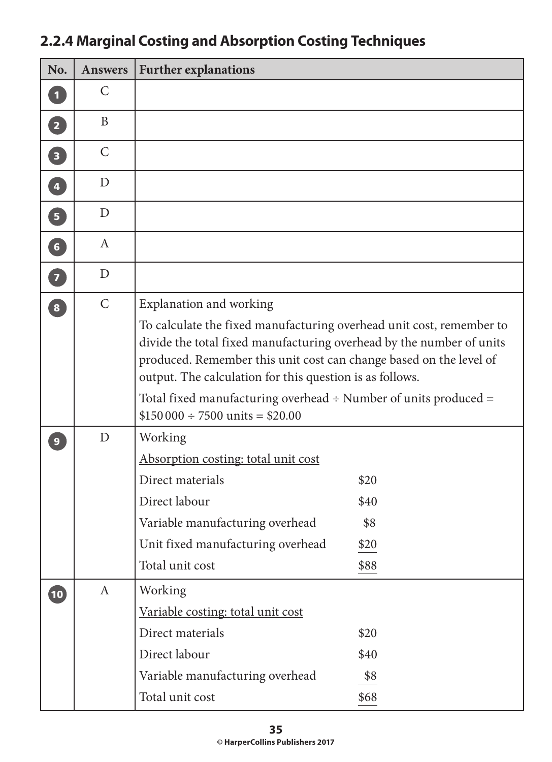| No.                     | <b>Answers</b> | <b>Further explanations</b>                                                                                                                                                                                                                                                                                                                            |      |
|-------------------------|----------------|--------------------------------------------------------------------------------------------------------------------------------------------------------------------------------------------------------------------------------------------------------------------------------------------------------------------------------------------------------|------|
| $\blacksquare$          | C              |                                                                                                                                                                                                                                                                                                                                                        |      |
| $\overline{2}$          | B              |                                                                                                                                                                                                                                                                                                                                                        |      |
| $\overline{\mathbf{3}}$ | $\mathcal{C}$  |                                                                                                                                                                                                                                                                                                                                                        |      |
| $\overline{\mathbf{4}}$ | D              |                                                                                                                                                                                                                                                                                                                                                        |      |
| 5 <sup>7</sup>          | D              |                                                                                                                                                                                                                                                                                                                                                        |      |
| 6 <sup>1</sup>          | A              |                                                                                                                                                                                                                                                                                                                                                        |      |
| $\overline{\mathbf{z}}$ | D              |                                                                                                                                                                                                                                                                                                                                                        |      |
| $\boxed{8}$             | $\mathcal{C}$  | Explanation and working                                                                                                                                                                                                                                                                                                                                |      |
|                         |                | To calculate the fixed manufacturing overhead unit cost, remember to<br>divide the total fixed manufacturing overhead by the number of units<br>produced. Remember this unit cost can change based on the level of<br>output. The calculation for this question is as follows.<br>Total fixed manufacturing overhead $\div$ Number of units produced = |      |
|                         |                | $$150000 \div 7500$ units = \$20.00                                                                                                                                                                                                                                                                                                                    |      |
| 9                       | D              | Working                                                                                                                                                                                                                                                                                                                                                |      |
|                         |                | Absorption costing: total unit cost<br>Direct materials                                                                                                                                                                                                                                                                                                | \$20 |
|                         |                | Direct labour                                                                                                                                                                                                                                                                                                                                          | \$40 |
|                         |                | Variable manufacturing overhead                                                                                                                                                                                                                                                                                                                        | \$8  |
|                         |                | Unit fixed manufacturing overhead                                                                                                                                                                                                                                                                                                                      | \$20 |
|                         |                | Total unit cost                                                                                                                                                                                                                                                                                                                                        | \$88 |
| $\overline{10}$         | $\mathbf{A}$   | Working                                                                                                                                                                                                                                                                                                                                                |      |
|                         |                | Variable costing: total unit cost                                                                                                                                                                                                                                                                                                                      |      |
|                         |                | Direct materials                                                                                                                                                                                                                                                                                                                                       | \$20 |
|                         |                | Direct labour                                                                                                                                                                                                                                                                                                                                          | \$40 |
|                         |                | Variable manufacturing overhead                                                                                                                                                                                                                                                                                                                        | \$8  |
|                         |                | Total unit cost                                                                                                                                                                                                                                                                                                                                        | \$68 |

# **2.2.4 Marginal Costing and Absorption Costing Techniques**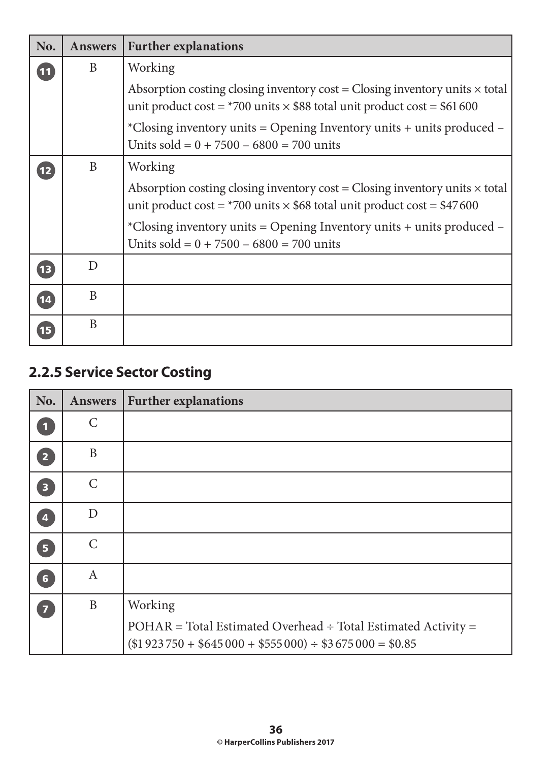| No.             | <b>Answers</b> | <b>Further explanations</b>                                                                                                                                               |
|-----------------|----------------|---------------------------------------------------------------------------------------------------------------------------------------------------------------------------|
| $\overline{11}$ | B              | Working                                                                                                                                                                   |
|                 |                | Absorption costing closing inventory $cost = Closing$ inventory units $\times$ total<br>unit product cost = $*700$ units $\times$ \$88 total unit product cost = \$61 600 |
|                 |                | *Closing inventory units = Opening Inventory units + units produced $-$<br>Units sold = $0 + 7500 - 6800 = 700$ units                                                     |
| 12              | B              | Working                                                                                                                                                                   |
|                 |                | Absorption costing closing inventory $cost = Closing$ inventory units $\times$ total<br>unit product cost = $*700$ units $\times$ \$68 total unit product cost = \$47 600 |
|                 |                | *Closing inventory units = Opening Inventory units + units produced $-$<br>Units sold = $0 + 7500 - 6800 = 700$ units                                                     |
| 13              | D              |                                                                                                                                                                           |
| (14)            | B              |                                                                                                                                                                           |
| 15              | B              |                                                                                                                                                                           |

# **2.2.5 Service Sector Costing**

| No.                     | <b>Answers</b> | <b>Further explanations</b>                                                                                                                    |
|-------------------------|----------------|------------------------------------------------------------------------------------------------------------------------------------------------|
| $\blacksquare$          | $\mathsf{C}$   |                                                                                                                                                |
| $\boxed{2}$             | $\mathbf{B}$   |                                                                                                                                                |
| $\overline{\mathbf{3}}$ | $\mathsf{C}$   |                                                                                                                                                |
| $\overline{\mathbf{4}}$ | D              |                                                                                                                                                |
| $\overline{\mathbf{5}}$ | $\mathsf{C}$   |                                                                                                                                                |
| 6 <sup>1</sup>          | $\mathbf{A}$   |                                                                                                                                                |
| $\overline{7}$          | $\mathbf B$    | Working<br>POHAR = Total Estimated Overhead ÷ Total Estimated Activity =<br>$($1\,923\,750 + $645\,000 + $555\,000) \div $3\,675\,000 = $0.85$ |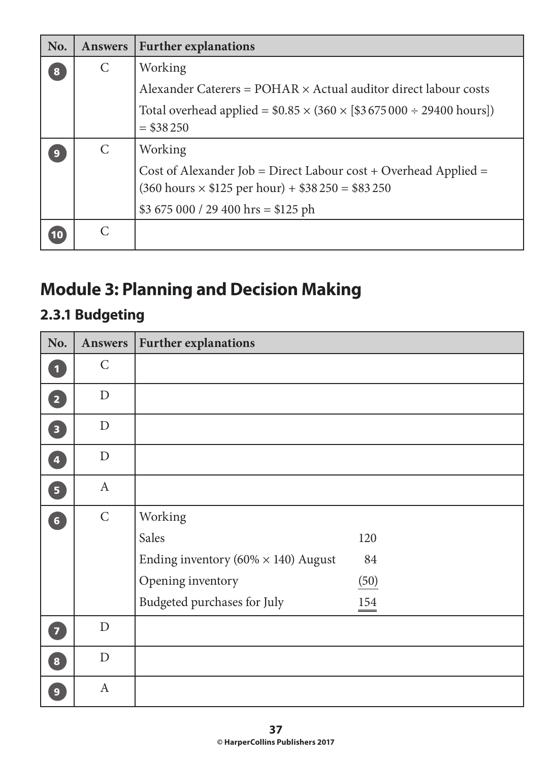| No.              | <b>Answers</b> | <b>Further explanations</b>                                                                                                                                                          |
|------------------|----------------|--------------------------------------------------------------------------------------------------------------------------------------------------------------------------------------|
| 8                | C              | Working                                                                                                                                                                              |
|                  |                | Alexander Caterers = POHAR × Actual auditor direct labour costs                                                                                                                      |
|                  |                | Total overhead applied = $$0.85 \times (360 \times [$3675000 \div 29400 \text{ hours}])$<br>$=$ \$38 250                                                                             |
| $\boldsymbol{9}$ | $\mathcal{C}$  | Working                                                                                                                                                                              |
|                  |                | Cost of Alexander Job = Direct Labour $cost + Overhead$ Applied =<br>$(360 \text{ hours} \times $125 \text{ per hour}) + $38\,250 = $83\,250$<br>\$3 675 000 / 29 400 hrs = \$125 ph |
|                  |                |                                                                                                                                                                                      |

# **Module 3: Planning and Decision Making**

# **2.3.1 Budgeting**

| No.                               | Answers         | <b>Further explanations</b>                   |      |
|-----------------------------------|-----------------|-----------------------------------------------|------|
| O                                 | $\mathsf{C}$    |                                               |      |
| 2                                 | $\mathbf D$     |                                               |      |
| 3                                 | $\mathbf D$     |                                               |      |
| $\overline{\mathbf{A}}$           | $\mathbf D$     |                                               |      |
| $\overline{\mathbf{5}}$           | $\mathbf{A}$    |                                               |      |
| 6                                 | $\mathsf C$     | Working                                       |      |
|                                   |                 | Sales                                         | 120  |
|                                   |                 | Ending inventory ( $60\% \times 140$ ) August | 84   |
|                                   |                 | Opening inventory                             | (50) |
|                                   |                 | Budgeted purchases for July                   | 154  |
| $\bullet$                         | $\mathbf D$     |                                               |      |
| $\begin{bmatrix} 8 \end{bmatrix}$ | ${\mathcal{D}}$ |                                               |      |
| $\overline{9}$                    | $\mathbf{A}$    |                                               |      |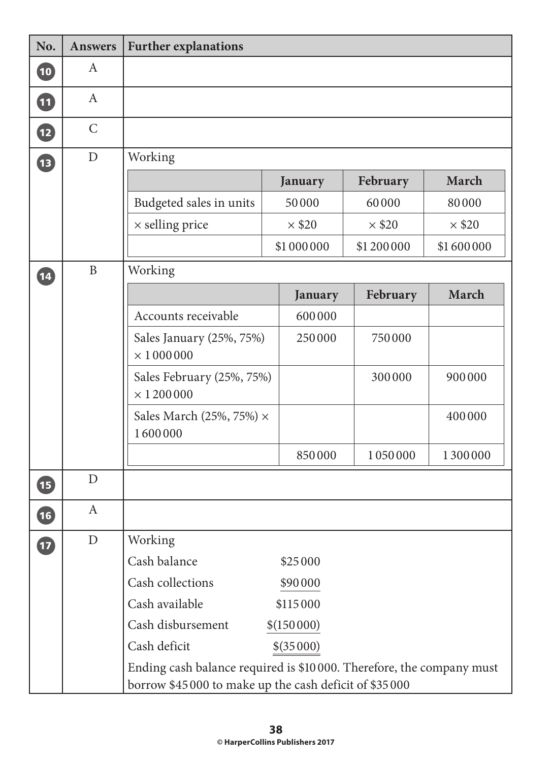| No.                                             | <b>Answers</b> | <b>Further explanations</b>                                                                                                   |               |               |               |
|-------------------------------------------------|----------------|-------------------------------------------------------------------------------------------------------------------------------|---------------|---------------|---------------|
| $\left( \begin{matrix} 10 \end{matrix} \right)$ | $\mathbf{A}$   |                                                                                                                               |               |               |               |
| 11                                              | $\mathbf{A}$   |                                                                                                                               |               |               |               |
| $\mathbf{12}$                                   | $\mathsf{C}$   |                                                                                                                               |               |               |               |
| <b>13</b>                                       | D              | Working                                                                                                                       |               |               |               |
|                                                 |                |                                                                                                                               | January       | February      | March         |
|                                                 |                | Budgeted sales in units                                                                                                       | 50000         | 60000         | 80000         |
|                                                 |                | $\times$ selling price                                                                                                        | $\times$ \$20 | $\times$ \$20 | $\times$ \$20 |
|                                                 |                |                                                                                                                               | \$1 000 000   | \$1 200 000   | \$1600000     |
| $\overline{\mathbf{14}}$                        | $\mathbf{B}$   | Working                                                                                                                       |               |               |               |
|                                                 |                |                                                                                                                               | January       | February      | March         |
|                                                 |                | Accounts receivable                                                                                                           | 600000        |               |               |
|                                                 |                | Sales January (25%, 75%)<br>$\times$ 1000000                                                                                  | 250000        | 750000        |               |
|                                                 |                | Sales February (25%, 75%)<br>$\times$ 1 200 000                                                                               |               | 300000        | 900000        |
|                                                 |                | Sales March (25%, 75%) $\times$<br>1600000                                                                                    |               |               | 400000        |
|                                                 |                |                                                                                                                               | 850000        | 1050000       | 1300000       |
| <b>15</b>                                       | D              |                                                                                                                               |               |               |               |
| $\overline{16}$                                 | $\mathbf{A}$   |                                                                                                                               |               |               |               |
| $\bf{E}$                                        | $\mathbf D$    | Working                                                                                                                       |               |               |               |
|                                                 |                | Cash balance                                                                                                                  | \$25000       |               |               |
|                                                 |                | Cash collections                                                                                                              | \$90000       |               |               |
|                                                 |                | Cash available                                                                                                                | \$115000      |               |               |
|                                                 |                | Cash disbursement                                                                                                             | \$(150000)    |               |               |
|                                                 |                | Cash deficit                                                                                                                  | \$(35000)     |               |               |
|                                                 |                | Ending cash balance required is \$10000. Therefore, the company must<br>borrow \$45000 to make up the cash deficit of \$35000 |               |               |               |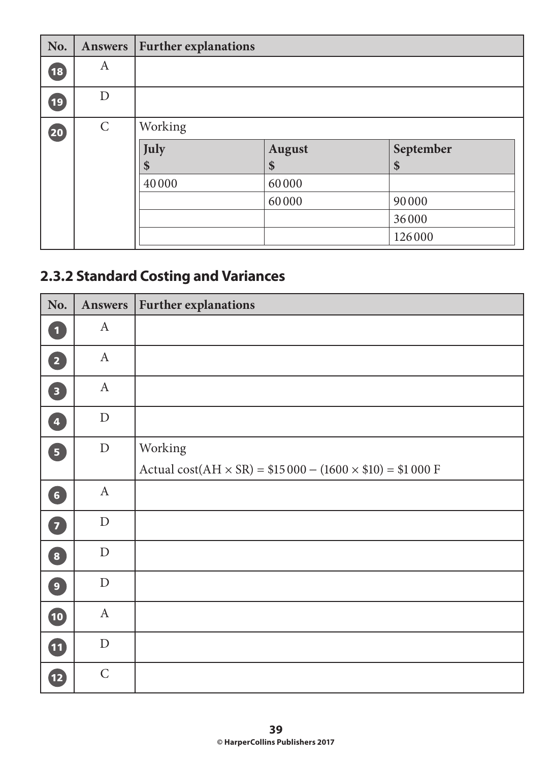| No.          | Answers      | <b>Further explanations</b> |               |           |
|--------------|--------------|-----------------------------|---------------|-----------|
| $\boxed{18}$ | A            |                             |               |           |
| (19)         | D            |                             |               |           |
| 20           | $\mathsf{C}$ | Working                     |               |           |
|              |              | July                        | <b>August</b> | September |
|              |              | \$                          | \$            | \$        |
|              |              | 40000                       | 60000         |           |
|              |              |                             | 60000         | 90000     |
|              |              |                             |               | 36000     |
|              |              |                             |               | 126000    |

# **2.3.2 Standard Costing and Variances**

| No.                     | Answers      | <b>Further explanations</b>                                                 |
|-------------------------|--------------|-----------------------------------------------------------------------------|
| $\boxed{1}$             | $\mathbf{A}$ |                                                                             |
| $\overline{\mathbf{2}}$ | $\mathbf{A}$ |                                                                             |
| $\boxed{3}$             | $\mathbf{A}$ |                                                                             |
| 4                       | $\mathbf D$  |                                                                             |
| $\overline{5}$          | ${\rm D}$    | Working                                                                     |
|                         |              | Actual cost( $AH \times SR$ ) = \$15 000 - (1600 $\times$ \$10) = \$1 000 F |
| 6                       | $\mathbf{A}$ |                                                                             |
| $\mathbf{Z}$            | $\mathbf D$  |                                                                             |
| $\boxed{8}$             | $\mathbf{D}$ |                                                                             |
| $\boxed{9}$             | $\mathbf{D}$ |                                                                             |
| 10                      | $\mathbf{A}$ |                                                                             |
| 1                       | ${\rm D}$    |                                                                             |
| $\mathbf{12}$           | $\mathsf C$  |                                                                             |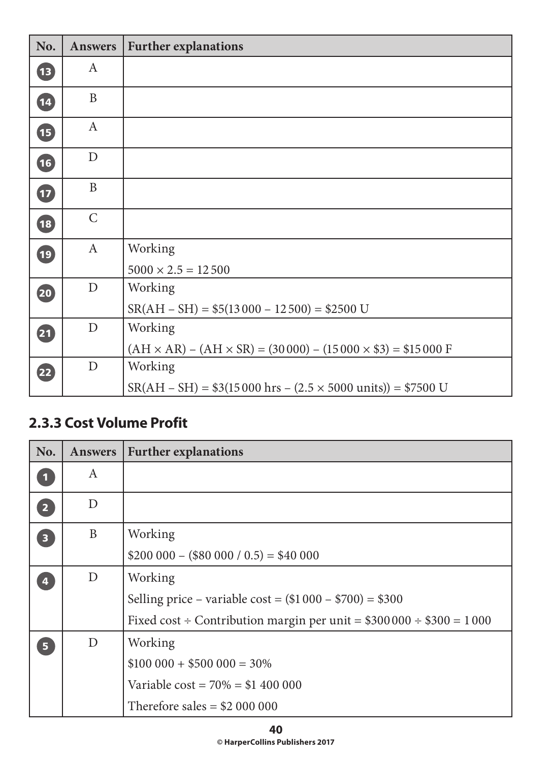| No.             | <b>Answers</b> | <b>Further explanations</b>                                                               |
|-----------------|----------------|-------------------------------------------------------------------------------------------|
| <b>13</b>       | A              |                                                                                           |
| $\overline{14}$ | B              |                                                                                           |
| 15              | $\mathbf{A}$   |                                                                                           |
| 16              | $\mathbf D$    |                                                                                           |
| $\mathbf{t}$    | B              |                                                                                           |
| 18              | $\mathsf{C}$   |                                                                                           |
| $\overline{19}$ | $\mathbf{A}$   | Working                                                                                   |
|                 |                | $5000 \times 2.5 = 12500$                                                                 |
| 20              | $\mathbf D$    | Working                                                                                   |
|                 |                | $SR(AH - SH) = $5(13000 - 12500) = $2500$ U                                               |
| 21              | $\mathbf D$    | Working                                                                                   |
|                 |                | $(AH \times AR) - (AH \times SR) = (30000) - (15000 \times $3) = $15000 F$                |
| 22              | $\mathbf D$    | Working                                                                                   |
|                 |                | $SR(AH - SH) = $3(15000 \text{ hrs} - (2.5 \times 5000 \text{ units})) = $7500 \text{ U}$ |

#### **2.3.3 Cost Volume Profit**

| No.                     | <b>Answers</b> | <b>Further explanations</b>                                            |
|-------------------------|----------------|------------------------------------------------------------------------|
| $\mathbf{1}$            | A              |                                                                        |
| $\overline{2}$          | D              |                                                                        |
| $\overline{\mathbf{3}}$ | B              | Working                                                                |
|                         |                | $$200\,000 - ($80\,000 / 0.5) = $40\,000$                              |
| $\overline{4}$          | D              | Working                                                                |
|                         |                | Selling price – variable cost = $($1\,000 - $700) = $300$              |
|                         |                | Fixed cost ÷ Contribution margin per unit = $$300000 \div $300 = 1000$ |
| 5 <sub>1</sub>          | D              | Working                                                                |
|                         |                | $$100\,000 + $500\,000 = 30\%$                                         |
|                         |                | Variable $cost = 70\% = $1,400,000$                                    |
|                         |                | Therefore sales $= $2,000,000$                                         |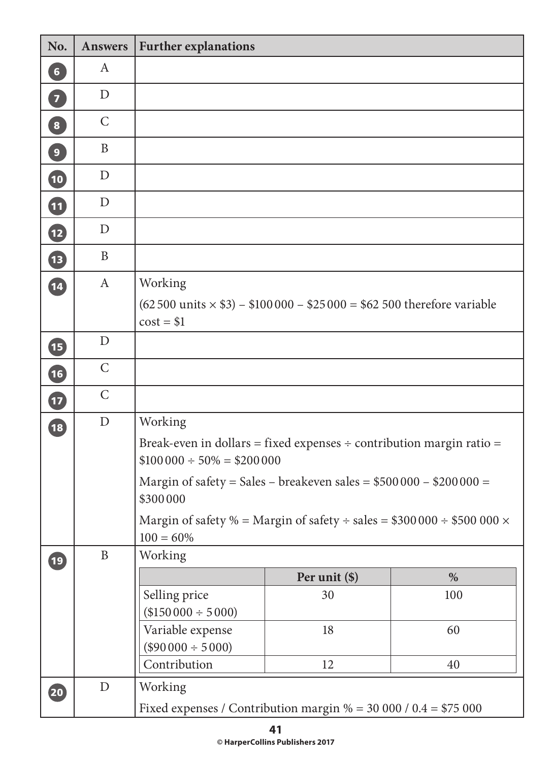| No.                               | <b>Answers</b>                                                                                            | <b>Further explanations</b>                                                                                |                                                                                          |     |  |  |  |
|-----------------------------------|-----------------------------------------------------------------------------------------------------------|------------------------------------------------------------------------------------------------------------|------------------------------------------------------------------------------------------|-----|--|--|--|
| 6 <sup>1</sup>                    | $\mathbf{A}$                                                                                              |                                                                                                            |                                                                                          |     |  |  |  |
| $\begin{bmatrix} 7 \end{bmatrix}$ | $\mathbf D$                                                                                               |                                                                                                            |                                                                                          |     |  |  |  |
| $\overline{\mathbf{8}}$           | $\mathsf{C}$                                                                                              |                                                                                                            |                                                                                          |     |  |  |  |
| $\overline{9}$                    | B                                                                                                         |                                                                                                            |                                                                                          |     |  |  |  |
| 10                                | D                                                                                                         |                                                                                                            |                                                                                          |     |  |  |  |
| $\bf{1}$                          | $\mathbf{D}$                                                                                              |                                                                                                            |                                                                                          |     |  |  |  |
| $\mathbf{12}$                     | D                                                                                                         |                                                                                                            |                                                                                          |     |  |  |  |
| <b>13</b>                         | B                                                                                                         |                                                                                                            |                                                                                          |     |  |  |  |
| $\overline{14}$                   | $\mathbf{A}$                                                                                              |                                                                                                            |                                                                                          |     |  |  |  |
|                                   |                                                                                                           | $cost = $1$                                                                                                | $(62\,500 \text{ units} \times $3) - $100\,000 - $25\,000 = $62\,500$ therefore variable |     |  |  |  |
| <b>15</b>                         | $\mathbf D$                                                                                               |                                                                                                            |                                                                                          |     |  |  |  |
| 16                                | $\mathsf{C}$                                                                                              |                                                                                                            |                                                                                          |     |  |  |  |
| $\bf{I}$                          | $\mathcal{C}$                                                                                             |                                                                                                            |                                                                                          |     |  |  |  |
| $\overline{18}$                   | $\mathbf D$<br>Working                                                                                    |                                                                                                            |                                                                                          |     |  |  |  |
|                                   |                                                                                                           | Break-even in dollars = fixed expenses $\div$ contribution margin ratio =<br>$$100000 \div 50\% = $200000$ |                                                                                          |     |  |  |  |
|                                   | Margin of safety = Sales - breakeven sales = $$500000 - $200000 =$                                        |                                                                                                            |                                                                                          |     |  |  |  |
|                                   | \$300000<br>Margin of safety % = Margin of safety ÷ sales = $$300000 \div $500000 \times$<br>$100 = 60\%$ |                                                                                                            |                                                                                          |     |  |  |  |
| $\overline{19}$                   | $\, {\bf B}$                                                                                              | Working                                                                                                    |                                                                                          |     |  |  |  |
|                                   |                                                                                                           |                                                                                                            | Per unit (\$)                                                                            | %   |  |  |  |
|                                   |                                                                                                           | Selling price                                                                                              | 30                                                                                       | 100 |  |  |  |
|                                   |                                                                                                           | $($150000 \div 5000)$<br>Variable expense                                                                  | 18                                                                                       | 60  |  |  |  |
|                                   |                                                                                                           | $(\$90000 \div 5000)$                                                                                      |                                                                                          |     |  |  |  |
|                                   |                                                                                                           | Contribution                                                                                               | 12                                                                                       | 40  |  |  |  |
| 20                                | $\mathbf D$                                                                                               | Working                                                                                                    |                                                                                          |     |  |  |  |
|                                   |                                                                                                           | Fixed expenses / Contribution margin % = 30 000 / 0.4 = \$75 000                                           |                                                                                          |     |  |  |  |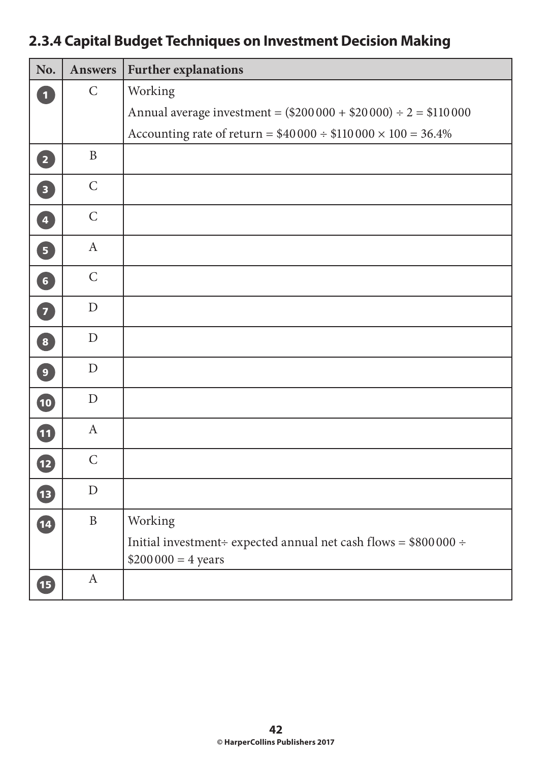### **2.3.4 Capital Budget Techniques on Investment Decision Making**

| No.                     | <b>Answers</b> | <b>Further explanations</b>                                                                        |  |  |
|-------------------------|----------------|----------------------------------------------------------------------------------------------------|--|--|
| $\overline{\mathbf{1}}$ | $\mathsf{C}$   | Working                                                                                            |  |  |
|                         |                | Annual average investment = $(\$200000 + \$20000) \div 2 = \$110000$                               |  |  |
|                         |                | Accounting rate of return = $$40\,000 \div $110\,000 \times 100 = 36.4\%$                          |  |  |
| $\boxed{2}$             | $\mathbf{B}$   |                                                                                                    |  |  |
| $\boxed{3}$             | $\mathsf{C}$   |                                                                                                    |  |  |
| 4                       | $\mathsf{C}$   |                                                                                                    |  |  |
| 5                       | $\mathbf{A}$   |                                                                                                    |  |  |
| $\left( 6\right)$       | $\mathsf{C}$   |                                                                                                    |  |  |
| 7                       | $\mathbf D$    |                                                                                                    |  |  |
| $\boxed{8}$             | $\mathbf D$    |                                                                                                    |  |  |
| $\boxed{9}$             | $\mathbf D$    |                                                                                                    |  |  |
| 10                      | $\mathbf D$    |                                                                                                    |  |  |
| $\boldsymbol{\Phi}$     | $\mathbf{A}$   |                                                                                                    |  |  |
| $\mathbf{D}$            | $\mathsf{C}$   |                                                                                                    |  |  |
| <b>13</b>               | $\mathbf D$    |                                                                                                    |  |  |
| $\overline{14}$         | $\, {\bf B}$   | Working                                                                                            |  |  |
|                         |                | Initial investment÷ expected annual net cash flows = $$800000 \div$<br>$$200000 = 4 \text{ years}$ |  |  |
| 15                      | $\mathbf{A}$   |                                                                                                    |  |  |